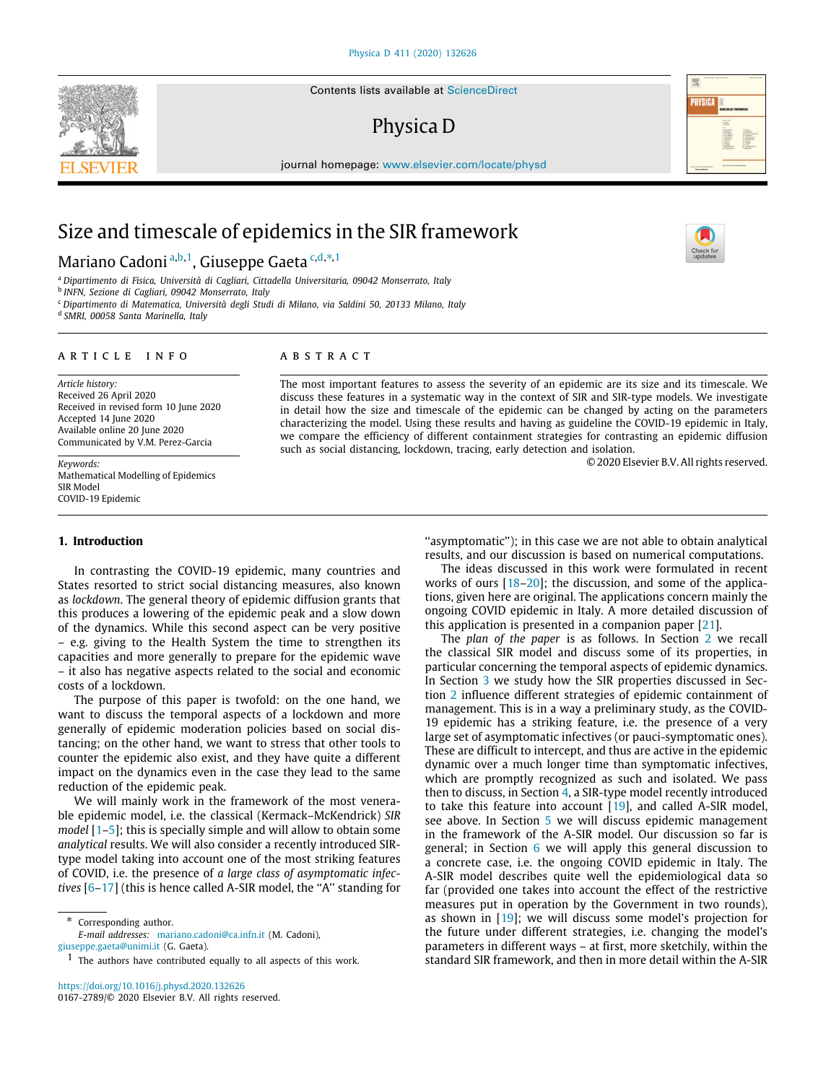Contents lists available at [ScienceDirect](http://www.elsevier.com/locate/physd)

# Physica D

journal homepage: [www.elsevier.com/locate/physd](http://www.elsevier.com/locate/physd)

## Size and timescale of epidemics in the SIR framework

## M[a](#page-0-0)riano Cadoni <sup>a,[b](#page-0-1),[1](#page-0-2)</sup>, Giuseppe Gaeta <sup>[c](#page-0-3),[d](#page-0-4),[∗](#page-0-5),1</sup>

<span id="page-0-0"></span><sup>a</sup> *Dipartimento di Fisica, Università di Cagliari, Cittadella Universitaria, 09042 Monserrato, Italy*

<span id="page-0-1"></span>b *INFN, Sezione di Cagliari, 09042 Monserrato, Italy*

<span id="page-0-3"></span><sup>c</sup> *Dipartimento di Matematica, Università degli Studi di Milano, via Saldini 50, 20133 Milano, Italy*

<span id="page-0-4"></span>d *SMRI, 00058 Santa Marinella, Italy*

## ARTICLE INFO

## a b s t r a c t

*Article history:* Received 26 April 2020 Received in revised form 10 June 2020 Accepted 14 June 2020 Available online 20 June 2020 Communicated by V.M. Perez-Garcia

*Keywords:* Mathematical Modelling of Epidemics SIR Model COVID-19 Epidemic

#### **1. Introduction**

In contrasting the COVID-19 epidemic, many countries and States resorted to strict social distancing measures, also known as *lockdown*. The general theory of epidemic diffusion grants that this produces a lowering of the epidemic peak and a slow down of the dynamics. While this second aspect can be very positive – e.g. giving to the Health System the time to strengthen its capacities and more generally to prepare for the epidemic wave – it also has negative aspects related to the social and economic costs of a lockdown.

The purpose of this paper is twofold: on the one hand, we want to discuss the temporal aspects of a lockdown and more generally of epidemic moderation policies based on social distancing; on the other hand, we want to stress that other tools to counter the epidemic also exist, and they have quite a different impact on the dynamics even in the case they lead to the same reduction of the epidemic peak.

We will mainly work in the framework of the most venerable epidemic model, i.e. the classical (Kermack–McKendrick) *SIR model* [\[1–](#page-12-0)[5](#page-12-1)]; this is specially simple and will allow to obtain some *analytical* results. We will also consider a recently introduced SIRtype model taking into account one of the most striking features of COVID, i.e. the presence of *a large class of asymptomatic infectives* [[6](#page-12-2)[–17\]](#page-13-0) (this is hence called A-SIR model, the ''A'' standing for

<span id="page-0-5"></span>Corresponding author. *E-mail addresses:* [mariano.cadoni@ca.infn.it](mailto:mariano.cadoni@ca.infn.it) (M. Cadoni),

[giuseppe.gaeta@unimi.it](mailto:giuseppe.gaeta@unimi.it) (G. Gaeta).

<https://doi.org/10.1016/j.physd.2020.132626> 0167-2789/© 2020 Elsevier B.V. All rights reserved.

The most important features to assess the severity of an epidemic are its size and its timescale. We discuss these features in a systematic way in the context of SIR and SIR-type models. We investigate in detail how the size and timescale of the epidemic can be changed by acting on the parameters characterizing the model. Using these results and having as guideline the COVID-19 epidemic in Italy, we compare the efficiency of different containment strategies for contrasting an epidemic diffusion such as social distancing, lockdown, tracing, early detection and isolation.

© 2020 Elsevier B.V. All rights reserved.

''asymptomatic''); in this case we are not able to obtain analytical results, and our discussion is based on numerical computations.

The ideas discussed in this work were formulated in recent works of ours [[18](#page-13-1)–[20\]](#page-13-2); the discussion, and some of the applications, given here are original. The applications concern mainly the ongoing COVID epidemic in Italy. A more detailed discussion of this application is presented in a companion paper [[21](#page-13-3)].

The *plan of the paper* is as follows. In Section [2](#page-1-0) we recall the classical SIR model and discuss some of its properties, in particular concerning the temporal aspects of epidemic dynamics. In Section [3](#page-4-0) we study how the SIR properties discussed in Section [2](#page-1-0) influence different strategies of epidemic containment of management. This is in a way a preliminary study, as the COVID-19 epidemic has a striking feature, i.e. the presence of a very large set of asymptomatic infectives (or pauci-symptomatic ones). These are difficult to intercept, and thus are active in the epidemic dynamic over a much longer time than symptomatic infectives, which are promptly recognized as such and isolated. We pass then to discuss, in Section [4,](#page-5-0) a SIR-type model recently introduced to take this feature into account [[19](#page-13-4)], and called A-SIR model, see above. In Section [5](#page-7-0) we will discuss epidemic management in the framework of the A-SIR model. Our discussion so far is general; in Section [6](#page-8-0) we will apply this general discussion to a concrete case, i.e. the ongoing COVID epidemic in Italy. The A-SIR model describes quite well the epidemiological data so far (provided one takes into account the effect of the restrictive measures put in operation by the Government in two rounds), as shown in [[19](#page-13-4)]; we will discuss some model's projection for the future under different strategies, i.e. changing the model's parameters in different ways – at first, more sketchily, within the standard SIR framework, and then in more detail within the A-SIR





<span id="page-0-2"></span><sup>1</sup> The authors have contributed equally to all aspects of this work.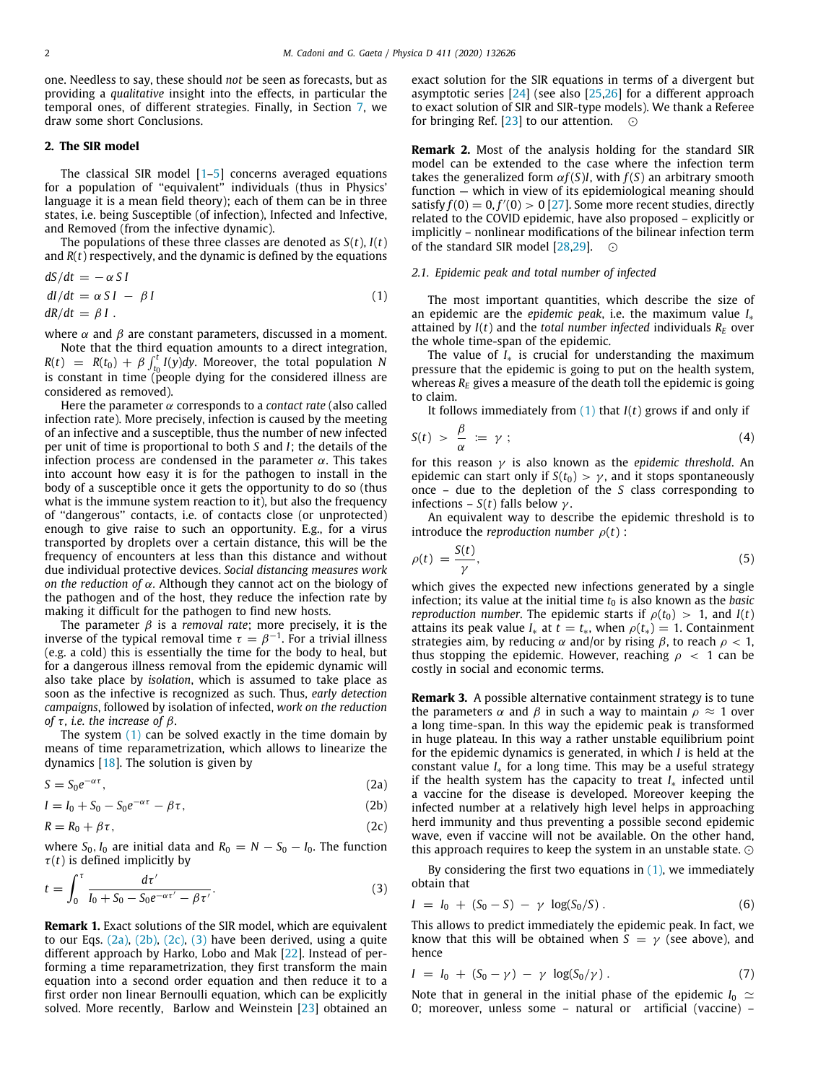one. Needless to say, these should *not* be seen as forecasts, but as providing a *qualitative* insight into the effects, in particular the temporal ones, of different strategies. Finally, in Section [7](#page-12-3), we draw some short Conclusions.

#### **2. The SIR model**

<span id="page-1-0"></span>The classical SIR model [[1](#page-12-0)[–5](#page-12-1)] concerns averaged equations for a population of ''equivalent'' individuals (thus in Physics' language it is a mean field theory); each of them can be in three states, i.e. being Susceptible (of infection), Infected and Infective, and Removed (from the infective dynamic).

The populations of these three classes are denoted as *S*(*t*), *I*(*t*) and *R*(*t*) respectively, and the dynamic is defined by the equations

<span id="page-1-1"></span>
$$
dS/dt = -\alpha SI
$$
  
\n
$$
dI/dt = \alpha SI - \beta I
$$
  
\n
$$
dR/dt = \beta I.
$$
\n(1)

where  $\alpha$  and  $\beta$  are constant parameters, discussed in a moment.

Note that the third equation amounts to a direct integration,  $R(t) = R(t_0) + \beta \int_{t_0}^t I(y) dy$ . Moreover, the total population *N* is constant in time (people dying for the considered illness are considered as removed).

Here the parameter α corresponds to a *contact rate* (also called infection rate). More precisely, infection is caused by the meeting of an infective and a susceptible, thus the number of new infected per unit of time is proportional to both *S* and *I*; the details of the infection process are condensed in the parameter  $\alpha$ . This takes into account how easy it is for the pathogen to install in the body of a susceptible once it gets the opportunity to do so (thus what is the immune system reaction to it), but also the frequency of ''dangerous'' contacts, i.e. of contacts close (or unprotected) enough to give raise to such an opportunity. E.g., for a virus transported by droplets over a certain distance, this will be the frequency of encounters at less than this distance and without due individual protective devices. *Social distancing measures work on the reduction of* α*.* Although they cannot act on the biology of the pathogen and of the host, they reduce the infection rate by making it difficult for the pathogen to find new hosts.

The parameter  $\beta$  is a *removal rate*; more precisely, it is the inverse of the typical removal time  $\tau = \beta^{-1}$ . For a trivial illness (e.g. a cold) this is essentially the time for the body to heal, but for a dangerous illness removal from the epidemic dynamic will also take place by *isolation*, which is assumed to take place as soon as the infective is recognized as such. Thus, *early detection campaigns*, followed by isolation of infected, *work on the reduction of*  $\tau$ *, i.e. the increase of*  $\beta$ *.* 

The system  $(1)$  $(1)$  can be solved exactly in the time domain by means of time reparametrization, which allows to linearize the dynamics  $[18]$ . The solution is given by

$$
S = S_0 e^{-\alpha \tau},\tag{2a}
$$

$$
I = I_0 + S_0 - S_0 e^{-\alpha \tau} - \beta \tau,
$$
\n(2b)

$$
R = R_0 + \beta \tau, \tag{2c}
$$

where  $S_0$ ,  $I_0$  are initial data and  $R_0 = N - S_0 - I_0$ . The function  $\tau(t)$  is defined implicitly by

$$
t = \int_0^{\tau} \frac{d\tau'}{I_0 + S_0 - S_0 e^{-\alpha \tau'} - \beta \tau'}.
$$
 (3)

**Remark 1.** Exact solutions of the SIR model, which are equivalent to our Eqs.  $(2a)$  $(2a)$ ,  $(2b)$ ,  $(2c)$  $(2c)$ ,  $(3)$  $(3)$  $(3)$  have been derived, using a quite different approach by Harko, Lobo and Mak [[22](#page-13-5)]. Instead of performing a time reparametrization, they first transform the main equation into a second order equation and then reduce it to a first order non linear Bernoulli equation, which can be explicitly solved. More recently, Barlow and Weinstein [\[23\]](#page-13-6) obtained an exact solution for the SIR equations in terms of a divergent but asymptotic series [[24](#page-13-7)] (see also [[25](#page-13-8)[,26\]](#page-13-9) for a different approach to exact solution of SIR and SIR-type models). We thank a Referee for bringing Ref. [\[23\]](#page-13-6) to our attention. ⊙

**Remark 2.** Most of the analysis holding for the standard SIR model can be extended to the case where the infection term takes the generalized form  $\alpha f(S)I$ , with  $f(S)$  an arbitrary smooth function — which in view of its epidemiological meaning should satisfy  $f(0) = 0, f'(0) > 0$  [\[27\]](#page-13-10). Some more recent studies, directly related to the COVID epidemic, have also proposed – explicitly or implicitly – nonlinear modifications of the bilinear infection term of the standard SIR model [\[28,](#page-13-11)[29](#page-13-12)]. ⊙

#### *2.1. Epidemic peak and total number of infected*

The most important quantities, which describe the size of an epidemic are the *epidemic peak*, i.e. the maximum value *I*∗ attained by  $I(t)$  and the *total number infected* individuals  $R<sub>E</sub>$  over the whole time-span of the epidemic.

The value of *I*∗ is crucial for understanding the maximum pressure that the epidemic is going to put on the health system, whereas *R<sup>E</sup>* gives a measure of the death toll the epidemic is going to claim.

It follows immediately from [\(1](#page-1-1)) that *I*(*t*) grows if and only if

$$
S(t) > \frac{\beta}{\alpha} := \gamma \tag{4}
$$

for this reason γ is also known as the *epidemic threshold*. An epidemic can start only if  $S(t_0) > \gamma$ , and it stops spontaneously once – due to the depletion of the *S* class corresponding to infections –  $S(t)$  falls below  $\gamma$ .

An equivalent way to describe the epidemic threshold is to introduce the *reproduction number*  $\rho(t)$ :

<span id="page-1-7"></span>
$$
\rho(t) = \frac{S(t)}{\gamma},\tag{5}
$$

which gives the expected new infections generated by a single infection; its value at the initial time  $t_0$  is also known as the *basic reproduction number*. The epidemic starts if  $\rho(t_0) > 1$ , and  $I(t)$ attains its peak value  $I_*$  at  $t = t_*$ , when  $\rho(t_*) = 1$ . Containment strategies aim, by reducing  $\alpha$  and/or by rising  $\beta$ , to reach  $\rho < 1$ , thus stopping the epidemic. However, reaching  $\rho < 1$  can be costly in social and economic terms.

<span id="page-1-2"></span>**Remark 3.** A possible alternative containment strategy is to tune the parameters  $\alpha$  and  $\beta$  in such a way to maintain  $\rho \approx 1$  over a long time-span. In this way the epidemic peak is transformed in huge plateau. In this way a rather unstable equilibrium point for the epidemic dynamics is generated, in which *I* is held at the constant value *I*∗ for a long time. This may be a useful strategy if the health system has the capacity to treat *I*∗ infected until a vaccine for the disease is developed. Moreover keeping the infected number at a relatively high level helps in approaching herd immunity and thus preventing a possible second epidemic wave, even if vaccine will not be available. On the other hand, this approach requires to keep the system in an unstable state. ⊙

<span id="page-1-5"></span><span id="page-1-4"></span><span id="page-1-3"></span>By considering the first two equations in  $(1)$  $(1)$  $(1)$ , we immediately obtain that

<span id="page-1-6"></span>
$$
I = I_0 + (S_0 - S) - \gamma \log(S_0/S) \,. \tag{6}
$$

This allows to predict immediately the epidemic peak. In fact, we know that this will be obtained when  $S = \gamma$  (see above), and hence

<span id="page-1-8"></span>
$$
I = I_0 + (S_0 - \gamma) - \gamma \log(S_0/\gamma).
$$
 (7)

Note that in general in the initial phase of the epidemic  $I_0 \simeq$ 0; moreover, unless some – natural or artificial (vaccine) –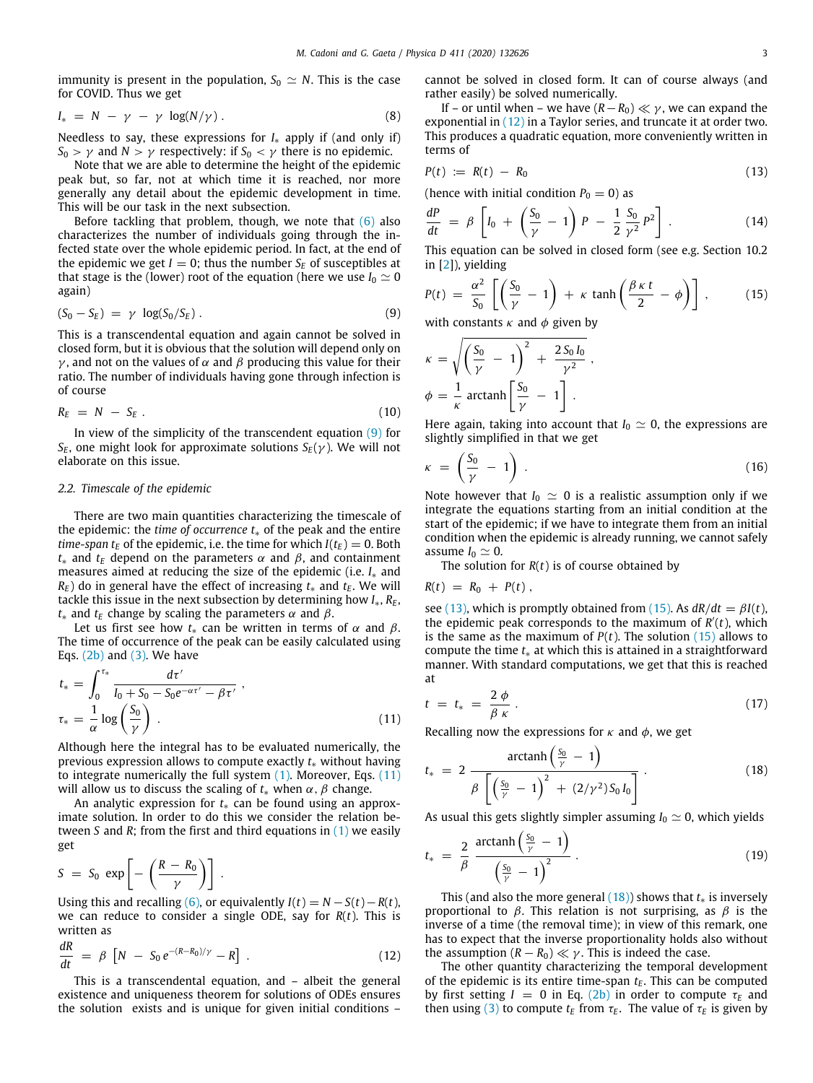immunity is present in the population,  $S_0 \simeq N$ . This is the case for COVID. Thus we get

$$
I_* = N - \gamma - \gamma \log(N/\gamma). \tag{8}
$$

Needless to say, these expressions for *I*∗ apply if (and only if) *S*<sub>0</sub> >  $\gamma$  and *N* >  $\gamma$  respectively: if *S*<sub>0</sub> <  $\gamma$  there is no epidemic.

Note that we are able to determine the height of the epidemic peak but, so far, not at which time it is reached, nor more generally any detail about the epidemic development in time. This will be our task in the next subsection.

Before tackling that problem, though, we note that  $(6)$  $(6)$  $(6)$  also characterizes the number of individuals going through the infected state over the whole epidemic period. In fact, at the end of the epidemic we get  $I = 0$ ; thus the number  $S_F$  of susceptibles at that stage is the (lower) root of the equation (here we use  $I_0 \simeq 0$ again)

$$
(S_0 - S_E) = \gamma \log(S_0/S_E). \tag{9}
$$

This is a transcendental equation and again cannot be solved in closed form, but it is obvious that the solution will depend only on  $γ$ , and not on the values of  $α$  and  $β$  producing this value for their ratio. The number of individuals having gone through infection is of course

$$
R_E = N - S_E. \tag{10}
$$

In view of the simplicity of the transcendent equation  $(9)$  $(9)$  for *S*<sup>*E*</sup>, one might look for approximate solutions  $S_F(\gamma)$ . We will not elaborate on this issue.

#### *2.2. Timescale of the epidemic*

There are two main quantities characterizing the timescale of the epidemic: the *time of occurrence t*∗ of the peak and the entire *time-span t*<sub>*E*</sub> of the epidemic, i.e. the time for which  $I(t_E) = 0$ . Both *t*<sup>∗</sup> and *t<sup>E</sup>* depend on the parameters α and β, and containment measures aimed at reducing the size of the epidemic (i.e. *I*∗ and *R*<sup>E</sup>) do in general have the effect of increasing  $t$ <sup>∗</sup> and  $t$ <sup>E</sup>. We will tackle this issue in the next subsection by determining how *I*∗, *R<sup>E</sup>* ,  $t_*$  and  $t_E$  change by scaling the parameters  $\alpha$  and  $\beta$ .

Let us first see how  $t_*$  can be written in terms of  $\alpha$  and  $\beta$ . The time of occurrence of the peak can be easily calculated using Eqs.  $(2b)$  $(2b)$  $(2b)$  and  $(3)$ . We have

$$
t_* = \int_0^{\tau_*} \frac{d\tau'}{I_0 + S_0 - S_0 e^{-\alpha \tau'} - \beta \tau'},
$$
  

$$
\tau_* = \frac{1}{\alpha} \log \left( \frac{S_0}{\gamma} \right).
$$
 (11)

<span id="page-2-1"></span>Although here the integral has to be evaluated numerically, the previous expression allows to compute exactly *t*∗ without having to integrate numerically the full system  $(1)$  $(1)$ . Moreover, Eqs.  $(11)$  $(11)$ will allow us to discuss the scaling of  $t_*$  when  $\alpha$ ,  $\beta$  change.

An analytic expression for *t*∗ can be found using an approximate solution. In order to do this we consider the relation between *S* and *R*; from the first and third equations in ([1](#page-1-1)) we easily get

$$
S = S_0 \exp \left[ - \left( \frac{R - R_0}{\gamma} \right) \right] \, .
$$

Using this and recalling [\(6](#page-1-6)), or equivalently  $I(t) = N - S(t) - R(t)$ , we can reduce to consider a single ODE, say for *R*(*t*). This is written as

$$
\frac{dR}{dt} = \beta \left[ N - S_0 e^{-(R - R_0)/\gamma} - R \right]. \tag{12}
$$

This is a transcendental equation, and – albeit the general existence and uniqueness theorem for solutions of ODEs ensures the solution exists and is unique for given initial conditions – cannot be solved in closed form. It can of course always (and rather easily) be solved numerically.

If – or until when – we have  $(R - R_0) \ll \gamma$ , we can expand the exponential in ([12](#page-2-2)) in a Taylor series, and truncate it at order two. This produces a quadratic equation, more conveniently written in terms of

<span id="page-2-3"></span>
$$
P(t) := R(t) - R_0 \tag{13}
$$

(hence with initial condition  $P_0 = 0$ ) as

$$
\frac{dP}{dt} \ = \ \beta \left[ I_0 \ + \ \left( \frac{S_0}{\gamma} \ - \ 1 \right) P \ - \ \frac{1}{2} \frac{S_0}{\gamma^2} P^2 \right] \ . \tag{14}
$$

This equation can be solved in closed form (see e.g. Section 10.2 in [[2\]](#page-12-4)), yielding

$$
P(t) = \frac{\alpha^2}{S_0} \left[ \left( \frac{S_0}{\gamma} - 1 \right) + \kappa \tanh \left( \frac{\beta \kappa t}{2} - \phi \right) \right],
$$
 (15)

<span id="page-2-4"></span><span id="page-2-0"></span>with constants  $\kappa$  and  $\phi$  given by

$$
\kappa = \sqrt{\left(\frac{S_0}{\gamma} - 1\right)^2 + \frac{2S_0 I_0}{\gamma^2}},
$$
  

$$
\phi = \frac{1}{\kappa} \operatorname{arctanh} \left[\frac{S_0}{\gamma} - 1\right].
$$

<span id="page-2-6"></span>Here again, taking into account that  $I_0 \simeq 0$ , the expressions are slightly simplified in that we get

$$
\kappa = \left(\frac{S_0}{\gamma} - 1\right). \tag{16}
$$

Note however that  $I_0 \simeq 0$  is a realistic assumption only if we integrate the equations starting from an initial condition at the start of the epidemic; if we have to integrate them from an initial condition when the epidemic is already running, we cannot safely assume  $I_0 \simeq 0$ .

The solution for *R*(*t*) is of course obtained by

$$
R(t) = R_0 + P(t),
$$

see [\(13\)](#page-2-3), which is promptly obtained from ([15](#page-2-4)). As  $dR/dt = \beta I(t)$ , the epidemic peak corresponds to the maximum of  $R'(t)$ , which is the same as the maximum of  $P(t)$ . The solution  $(15)$  $(15)$  $(15)$  allows to compute the time *t*∗ at which this is attained in a straightforward manner. With standard computations, we get that this is reached at

$$
t = t_* = \frac{2 \phi}{\beta \kappa} \,. \tag{17}
$$

<span id="page-2-5"></span>Recalling now the expressions for  $\kappa$  and  $\phi$ , we get

$$
t_* = 2 \frac{\arctanh\left(\frac{S_0}{\gamma} - 1\right)}{\beta \left[\left(\frac{S_0}{\gamma} - 1\right)^2 + (2/\gamma^2)S_0I_0\right]}.
$$
\n(18)

As usual this gets slightly simpler assuming  $I_0 \simeq 0$ , which yields

<span id="page-2-7"></span>
$$
t_* = \frac{2}{\beta} \frac{\arctanh\left(\frac{S_0}{\gamma} - 1\right)}{\left(\frac{S_0}{\gamma} - 1\right)^2} \,. \tag{19}
$$

This (and also the more general ([18](#page-2-5))) shows that *t*∗ is inversely proportional to  $β$ . This relation is not surprising, as  $β$  is the inverse of a time (the removal time); in view of this remark, one has to expect that the inverse proportionality holds also without the assumption  $(R - R_0) \ll \gamma$ . This is indeed the case.

<span id="page-2-2"></span>The other quantity characterizing the temporal development of the epidemic is its entire time-span  $t<sub>E</sub>$ . This can be computed by first setting  $I = 0$  in Eq. [\(2b\)](#page-1-3) in order to compute  $\tau_E$  and then using ([3\)](#page-1-5) to compute  $t_E$  from  $\tau_E$ . The value of  $\tau_E$  is given by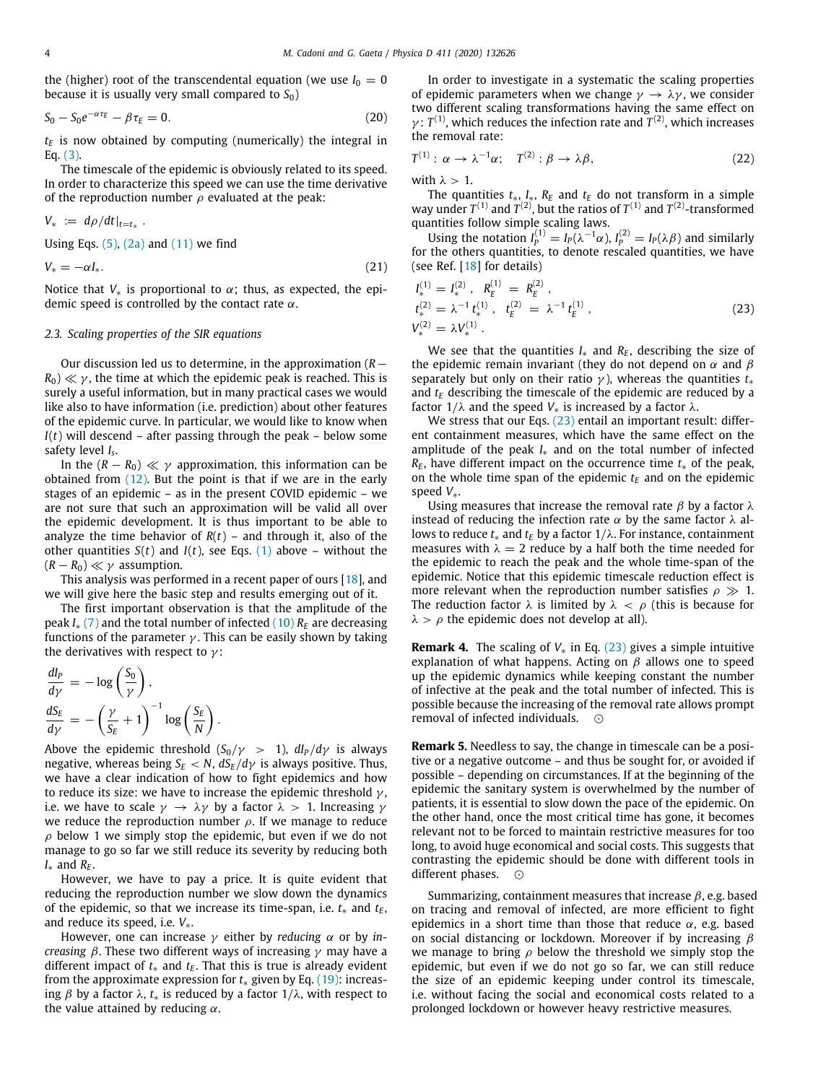the (higher) root of the transcendental equation (we use  $I_0 = 0$ because it is usually very small compared to  $S_0$ )

$$
S_0 - S_0 e^{-\alpha \tau_E} - \beta \tau_E = 0. \tag{20}
$$

 $t_F$  is now obtained by computing (numerically) the integral in Eq. [\(3\)](#page-1-5).

The timescale of the epidemic is obviously related to its speed. In order to characterize this speed we can use the time derivative of the reproduction number  $\rho$  evaluated at the peak:

$$
V_* \ := \ d\rho/dt|_{t=t_*}
$$

. Using Eqs.  $(5)$ ,  $(2a)$  $(2a)$  and  $(11)$  $(11)$  $(11)$  we find

 $V_* = -\alpha I_*$ . (21)

Notice that  $V_*$  is proportional to  $\alpha$ ; thus, as expected, the epidemic speed is controlled by the contact rate  $\alpha$ .

#### *2.3. Scaling properties of the SIR equations*

Our discussion led us to determine, in the approximation (*R*−  $R_0 \ll \gamma$ , the time at which the epidemic peak is reached. This is surely a useful information, but in many practical cases we would like also to have information (i.e. prediction) about other features of the epidemic curve. In particular, we would like to know when  $I(t)$  will descend – after passing through the peak – below some safety level *I<sup>s</sup>* .

In the  $(R - R_0) \ll \gamma$  approximation, this information can be obtained from [\(12\)](#page-2-2). But the point is that if we are in the early stages of an epidemic – as in the present COVID epidemic – we are not sure that such an approximation will be valid all over the epidemic development. It is thus important to be able to analyze the time behavior of  $R(t)$  – and through it, also of the other quantities  $S(t)$  and  $I(t)$ , see Eqs. [\(1\)](#page-1-1) above – without the  $(R - R_0) \ll \gamma$  assumption.

This analysis was performed in a recent paper of ours [[18](#page-13-1)], and we will give here the basic step and results emerging out of it.

The first important observation is that the amplitude of the peak  $I_*(7)$  $I_*(7)$  $I_*(7)$  and the total number of infected ([10\)](#page-2-6)  $R_E$  are decreasing functions of the parameter  $\gamma$ . This can be easily shown by taking the derivatives with respect to  $\gamma$ :

$$
\begin{aligned}\n\frac{dI_P}{d\gamma} &= -\log\left(\frac{S_0}{\gamma}\right), \\
\frac{dS_E}{d\gamma} &= -\left(\frac{\gamma}{S_E} + 1\right)^{-1} \log\left(\frac{S_E}{N}\right).\n\end{aligned}
$$

Above the epidemic threshold  $(S_0/\gamma > 1)$ ,  $dI_P/d\gamma$  is always negative, whereas being  $S_E < N$ ,  $dS_E/d\gamma$  is always positive. Thus, we have a clear indication of how to fight epidemics and how to reduce its size: we have to increase the epidemic threshold  $\gamma$ , i.e. we have to scale  $\gamma \rightarrow \lambda \gamma$  by a factor  $\lambda > 1$ . Increasing  $\gamma$ we reduce the reproduction number  $\rho$ . If we manage to reduce  $\rho$  below 1 we simply stop the epidemic, but even if we do not manage to go so far we still reduce its severity by reducing both  $I_*$  and  $R_F$ .

However, we have to pay a price. It is quite evident that reducing the reproduction number we slow down the dynamics of the epidemic, so that we increase its time-span, i.e. *t*∗ and *t<sup>E</sup>* , and reduce its speed, i.e. *V*∗.

However, one can increase  $\gamma$  either by *reducing*  $\alpha$  or by *increasing*  $\beta$ . These two different ways of increasing  $\gamma$  may have a different impact of  $t_*$  and  $t_E$ . That this is true is already evident from the approximate expression for *t*∗ given by Eq. [\(19](#page-2-7)): increasing β by a factor  $\lambda$ ,  $t_*$  is reduced by a factor 1/ $\lambda$ , with respect to the value attained by reducing  $\alpha$ .

In order to investigate in a systematic the scaling properties of epidemic parameters when we change  $\gamma \rightarrow \lambda \gamma$ , we consider two different scaling transformations having the same effect on  $\gamma$ :  $T^{(1)}$ , which reduces the infection rate and  $T^{(2)}$ , which increases the removal rate:

$$
T^{(1)}: \alpha \to \lambda^{-1}\alpha; \quad T^{(2)}: \beta \to \lambda\beta,
$$
 (22)

with  $\lambda > 1$ .

The quantities *t*∗, *I*∗, *R<sup>E</sup>* and *t<sup>E</sup>* do not transform in a simple way under  $T^{(1)}$  and  $T^{(2)}$ , but the ratios of  $T^{(1)}$  and  $T^{(2)}$ -transformed quantities follow simple scaling laws.

Using the notation  $I_P^{(1)} = I_P(\lambda^{-1}\alpha)$ ,  $I_P^{(2)} = I_P(\lambda\beta)$  and similarly for the others quantities, to denote rescaled quantities, we have (see Ref. [[18](#page-13-1)] for details)

<span id="page-3-0"></span>
$$
I_{*}^{(1)} = I_{*}^{(2)}, R_{E}^{(1)} = R_{E}^{(2)},
$$
  
\n
$$
t_{*}^{(2)} = \lambda^{-1} t_{*}^{(1)}, t_{E}^{(2)} = \lambda^{-1} t_{E}^{(1)},
$$
  
\n
$$
V_{*}^{(2)} = \lambda V_{*}^{(1)}.
$$
\n(23)

We see that the quantities *I*∗ and *R<sup>E</sup>* , describing the size of the epidemic remain invariant (they do not depend on  $\alpha$  and  $\beta$ separately but only on their ratio  $\gamma$ ), whereas the quantities  $t_*$ and  $t_E$  describing the timescale of the epidemic are reduced by a factor  $1/\lambda$  and the speed  $V_*$  is increased by a factor  $\lambda$ .

We stress that our Eqs. [\(23\)](#page-3-0) entail an important result: different containment measures, which have the same effect on the amplitude of the peak *I*∗ and on the total number of infected *R<sup>E</sup>* , have different impact on the occurrence time *t*∗ of the peak, on the whole time span of the epidemic  $t_E$  and on the epidemic speed *V*∗.

Using measures that increase the removal rate  $\beta$  by a factor  $\lambda$ instead of reducing the infection rate  $\alpha$  by the same factor  $\lambda$  allows to reduce *t*<sup>∗</sup> and *t<sup>E</sup>* by a factor 1/λ. For instance, containment measures with  $\lambda = 2$  reduce by a half both the time needed for the epidemic to reach the peak and the whole time-span of the epidemic. Notice that this epidemic timescale reduction effect is more relevant when the reproduction number satisfies  $\rho \gg 1$ . The reduction factor  $\lambda$  is limited by  $\lambda < \rho$  (this is because for  $\lambda > \rho$  the epidemic does not develop at all).

**Remark 4.** The scaling of  $V_*$  in Eq. [\(23\)](#page-3-0) gives a simple intuitive explanation of what happens. Acting on  $\beta$  allows one to speed up the epidemic dynamics while keeping constant the number of infective at the peak and the total number of infected. This is possible because the increasing of the removal rate allows prompt removal of infected individuals. ⊙

**Remark 5.** Needless to say, the change in timescale can be a positive or a negative outcome – and thus be sought for, or avoided if possible – depending on circumstances. If at the beginning of the epidemic the sanitary system is overwhelmed by the number of patients, it is essential to slow down the pace of the epidemic. On the other hand, once the most critical time has gone, it becomes relevant not to be forced to maintain restrictive measures for too long, to avoid huge economical and social costs. This suggests that contrasting the epidemic should be done with different tools in different phases. ⊙

Summarizing, containment measures that increase  $\beta$ , e.g. based on tracing and removal of infected, are more efficient to fight epidemics in a short time than those that reduce  $\alpha$ , e.g. based on social distancing or lockdown. Moreover if by increasing  $\beta$ we manage to bring  $\rho$  below the threshold we simply stop the epidemic, but even if we do not go so far, we can still reduce the size of an epidemic keeping under control its timescale, i.e. without facing the social and economical costs related to a prolonged lockdown or however heavy restrictive measures.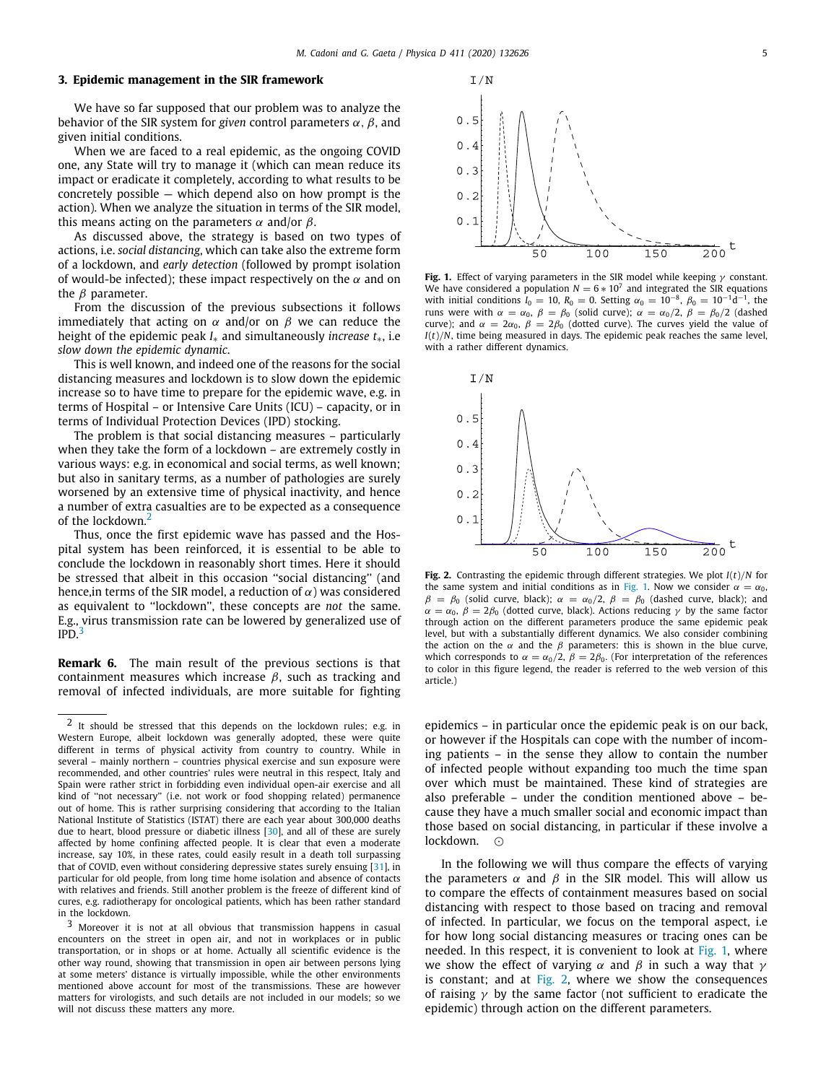## **3. Epidemic management in the SIR framework**

<span id="page-4-0"></span>We have so far supposed that our problem was to analyze the behavior of the SIR system for *given* control parameters  $\alpha$ ,  $\beta$ , and given initial conditions.

When we are faced to a real epidemic, as the ongoing COVID one, any State will try to manage it (which can mean reduce its impact or eradicate it completely, according to what results to be concretely possible — which depend also on how prompt is the action). When we analyze the situation in terms of the SIR model, this means acting on the parameters  $\alpha$  and/or  $\beta$ .

As discussed above, the strategy is based on two types of actions, i.e. *social distancing*, which can take also the extreme form of a lockdown, and *early detection* (followed by prompt isolation of would-be infected); these impact respectively on the  $\alpha$  and on the  $\beta$  parameter.

From the discussion of the previous subsections it follows immediately that acting on  $\alpha$  and/or on  $\beta$  we can reduce the height of the epidemic peak *I*∗ and simultaneously *increase t*∗, i.e *slow down the epidemic dynamic*.

This is well known, and indeed one of the reasons for the social distancing measures and lockdown is to slow down the epidemic increase so to have time to prepare for the epidemic wave, e.g. in terms of Hospital – or Intensive Care Units (ICU) – capacity, or in terms of Individual Protection Devices (IPD) stocking.

The problem is that social distancing measures – particularly when they take the form of a lockdown – are extremely costly in various ways: e.g. in economical and social terms, as well known; but also in sanitary terms, as a number of pathologies are surely worsened by an extensive time of physical inactivity, and hence a number of extra casualties are to be expected as a consequence of the lockdown.<sup>[2](#page-4-1)</sup>

<span id="page-4-1"></span>Thus, once the first epidemic wave has passed and the Hospital system has been reinforced, it is essential to be able to conclude the lockdown in reasonably short times. Here it should be stressed that albeit in this occasion ''social distancing'' (and hence, in terms of the SIR model, a reduction of  $\alpha$ ) was considered as equivalent to ''lockdown'', these concepts are *not* the same. E.g., virus transmission rate can be lowered by generalized use of  $IPD<sup>3</sup>$  $IPD<sup>3</sup>$  $IPD<sup>3</sup>$ 

<span id="page-4-2"></span>**Remark 6.** The main result of the previous sections is that containment measures which increase  $\beta$ , such as tracking and removal of infected individuals, are more suitable for fighting



<span id="page-4-3"></span>**Fig. 1.** Effect of varying parameters in the SIR model while keeping  $\gamma$  constant. We have considered a population  $N = 6 * 10<sup>7</sup>$  and integrated the SIR equations with initial conditions  $I_0 = 10$ ,  $R_0 = 0$ . Setting  $\alpha_0 = 10^{-8}$ ,  $\beta_0 = 10^{-1}$ d<sup>-1</sup>, the runs were with  $\alpha = \alpha_0$ ,  $\beta = \beta_0$  (solid curve);  $\alpha = \alpha_0/2$ ,  $\beta = \beta_0/2$  (dashed curve); and  $\alpha = 2\alpha_0$ ,  $\beta = 2\beta_0$  (dotted curve). The curves yield the value of *I*(*t*)/*N*, time being measured in days. The epidemic peak reaches the same level, with a rather different dynamics.



<span id="page-4-4"></span>**Fig. 2.** Contrasting the epidemic through different strategies. We plot *I*(*t*)/*N* for the same system and initial conditions as in [Fig.](#page-4-3) [1.](#page-4-3) Now we consider  $\alpha = \alpha_0$ ,  $\beta = \beta_0$  (solid curve, black);  $\alpha = \alpha_0/2$ ,  $\beta = \beta_0$  (dashed curve, black); and  $\alpha = \alpha_0$ ,  $\beta = 2\beta_0$  (dotted curve, black). Actions reducing  $\gamma$  by the same factor through action on the different parameters produce the same epidemic peak level, but with a substantially different dynamics. We also consider combining the action on the  $\alpha$  and the  $\beta$  parameters: this is shown in the blue curve, which corresponds to  $\alpha = \alpha_0/2$ ,  $\beta = 2\beta_0$ . (For interpretation of the references to color in this figure legend, the reader is referred to the web version of this article.)

epidemics – in particular once the epidemic peak is on our back, or however if the Hospitals can cope with the number of incoming patients – in the sense they allow to contain the number of infected people without expanding too much the time span over which must be maintained. These kind of strategies are also preferable – under the condition mentioned above – because they have a much smaller social and economic impact than those based on social distancing, in particular if these involve a lockdown. ⊙

In the following we will thus compare the effects of varying the parameters  $\alpha$  and  $\beta$  in the SIR model. This will allow us to compare the effects of containment measures based on social distancing with respect to those based on tracing and removal of infected. In particular, we focus on the temporal aspect, i.e for how long social distancing measures or tracing ones can be needed. In this respect, it is convenient to look at [Fig.](#page-4-3) [1](#page-4-3), where we show the effect of varying  $\alpha$  and  $\beta$  in such a way that  $\gamma$ is constant; and at [Fig.](#page-4-4) [2,](#page-4-4) where we show the consequences of raising  $\gamma$  by the same factor (not sufficient to eradicate the epidemic) through action on the different parameters.

<sup>2</sup> It should be stressed that this depends on the lockdown rules; e.g. in Western Europe, albeit lockdown was generally adopted, these were quite different in terms of physical activity from country to country. While in several – mainly northern – countries physical exercise and sun exposure were recommended, and other countries' rules were neutral in this respect, Italy and Spain were rather strict in forbidding even individual open-air exercise and all kind of ''not necessary'' (i.e. not work or food shopping related) permanence out of home. This is rather surprising considering that according to the Italian National Institute of Statistics (ISTAT) there are each year about 300,000 deaths due to heart, blood pressure or diabetic illness [[30\]](#page-13-13), and all of these are surely affected by home confining affected people. It is clear that even a moderate increase, say 10%, in these rates, could easily result in a death toll surpassing that of COVID, even without considering depressive states surely ensuing [[31\]](#page-13-14), in particular for old people, from long time home isolation and absence of contacts with relatives and friends. Still another problem is the freeze of different kind of cures, e.g. radiotherapy for oncological patients, which has been rather standard in the lockdown.

<sup>3</sup> Moreover it is not at all obvious that transmission happens in casual encounters on the street in open air, and not in workplaces or in public transportation, or in shops or at home. Actually all scientific evidence is the other way round, showing that transmission in open air between persons lying at some meters' distance is virtually impossible, while the other environments mentioned above account for most of the transmissions. These are however matters for virologists, and such details are not included in our models; so we will not discuss these matters any more.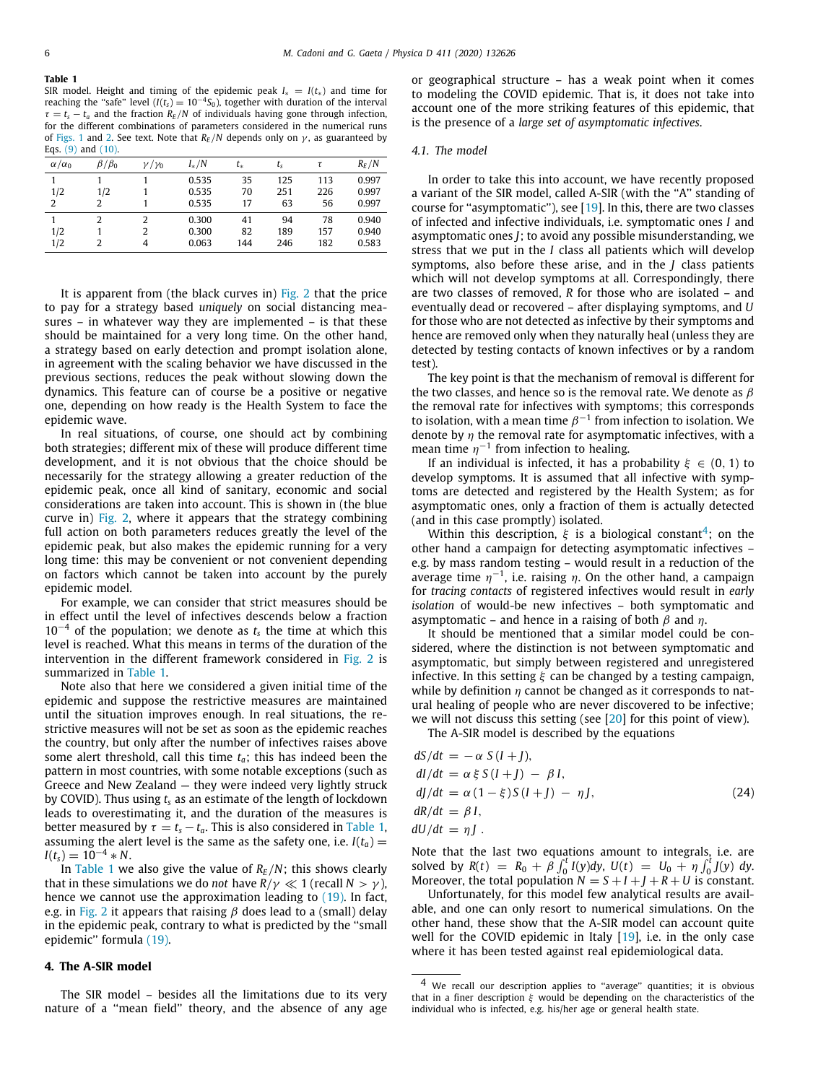**Table 1**

#### SIR model. Height and timing of the epidemic peak  $I_* = I(t_*)$  and time for reaching the "safe" level  $(I(t_s) = 10^{-4}S_0)$ , together with duration of the interval  $-t_a$  and the fraction *R<sub>E</sub>* /*N* of individuals having gone through infection, for the different combinations of parameters considered in the numerical runs of [Figs.](#page-4-3) [1](#page-4-3) and [2.](#page-4-4) See text. Note that  $R_E/N$  depends only on  $\gamma$ , as guaranteed by Eqs. [\(9\)](#page-2-0) and ([10](#page-2-6)).

<span id="page-5-1"></span>

| $\alpha/\alpha_0$ | $\beta/\beta_0$ | $\gamma/\gamma_0$ | $I_{*}/N$ | $t_*$ | $t_{\rm s}$ | τ   | $R_F/N$ |
|-------------------|-----------------|-------------------|-----------|-------|-------------|-----|---------|
|                   |                 |                   | 0.535     | 35    | 125         | 113 | 0.997   |
| 1/2               | 1/2             |                   | 0.535     | 70    | 251         | 226 | 0.997   |
| 2                 | 2               |                   | 0.535     | 17    | 63          | 56  | 0.997   |
|                   | 2               | 2                 | 0.300     | 41    | 94          | 78  | 0.940   |
| 1/2               |                 | 2                 | 0.300     | 82    | 189         | 157 | 0.940   |
| 1/2               | 2               | 4                 | 0.063     | 144   | 246         | 182 | 0.583   |

It is apparent from (the black curves in) [Fig.](#page-4-4) [2](#page-4-4) that the price to pay for a strategy based *uniquely* on social distancing measures – in whatever way they are implemented – is that these should be maintained for a very long time. On the other hand, a strategy based on early detection and prompt isolation alone, in agreement with the scaling behavior we have discussed in the previous sections, reduces the peak without slowing down the dynamics. This feature can of course be a positive or negative one, depending on how ready is the Health System to face the epidemic wave.

In real situations, of course, one should act by combining both strategies; different mix of these will produce different time development, and it is not obvious that the choice should be necessarily for the strategy allowing a greater reduction of the epidemic peak, once all kind of sanitary, economic and social considerations are taken into account. This is shown in (the blue curve in) [Fig.](#page-4-4) [2](#page-4-4), where it appears that the strategy combining full action on both parameters reduces greatly the level of the epidemic peak, but also makes the epidemic running for a very long time: this may be convenient or not convenient depending on factors which cannot be taken into account by the purely epidemic model.

For example, we can consider that strict measures should be in effect until the level of infectives descends below a fraction  $10^{-4}$  of the population; we denote as  $t_s$  the time at which this level is reached. What this means in terms of the duration of the intervention in the different framework considered in [Fig.](#page-4-4) [2](#page-4-4) is summarized in [Table](#page-5-1) [1.](#page-5-1)

Note also that here we considered a given initial time of the epidemic and suppose the restrictive measures are maintained until the situation improves enough. In real situations, the restrictive measures will not be set as soon as the epidemic reaches the country, but only after the number of infectives raises above some alert threshold, call this time *ta*; this has indeed been the pattern in most countries, with some notable exceptions (such as Greece and New Zealand — they were indeed very lightly struck by COVID). Thus using *t<sup>s</sup>* as an estimate of the length of lockdown leads to overestimating it, and the duration of the measures is better measured by  $\tau = t_s - t_a$ . This is also considered in [Table](#page-5-1) [1,](#page-5-1) assuming the alert level is the same as the safety one, i.e.  $I(t_a)$  =  $I(t_s) = 10^{-4} * N$ .

In [Table](#page-5-1) [1](#page-5-1) we also give the value of  $R_E/N$ ; this shows clearly that in these simulations we do *not* have  $R/\gamma \ll 1$  (recall  $N > \gamma$ ), hence we cannot use the approximation leading to [\(19\)](#page-2-7). In fact, e.g. in [Fig.](#page-4-4) [2](#page-4-4) it appears that raising  $\beta$  does lead to a (small) delay in the epidemic peak, contrary to what is predicted by the ''small epidemic'' formula ([19](#page-2-7)).

#### **4. The A-SIR model**

<span id="page-5-0"></span>The SIR model – besides all the limitations due to its very nature of a ''mean field'' theory, and the absence of any age or geographical structure – has a weak point when it comes to modeling the COVID epidemic. That is, it does not take into account one of the more striking features of this epidemic, that is the presence of a *large set of asymptomatic infectives*.

## *4.1. The model*

In order to take this into account, we have recently proposed a variant of the SIR model, called A-SIR (with the ''A'' standing of course for ''asymptomatic''), see [[19](#page-13-4)]. In this, there are two classes of infected and infective individuals, i.e. symptomatic ones *I* and asymptomatic ones *J*; to avoid any possible misunderstanding, we stress that we put in the *I* class all patients which will develop symptoms, also before these arise, and in the *J* class patients which will not develop symptoms at all. Correspondingly, there are two classes of removed, *R* for those who are isolated – and eventually dead or recovered – after displaying symptoms, and *U* for those who are not detected as infective by their symptoms and hence are removed only when they naturally heal (unless they are detected by testing contacts of known infectives or by a random test).

The key point is that the mechanism of removal is different for the two classes, and hence so is the removal rate. We denote as  $\beta$ the removal rate for infectives with symptoms; this corresponds to isolation, with a mean time  $\beta^{-1}$  from infection to isolation. We denote by  $\eta$  the removal rate for asymptomatic infectives, with a mean time  $\eta^{-1}$  from infection to healing.

If an individual is infected, it has a probability  $\xi \in (0, 1)$  to develop symptoms. It is assumed that all infective with symptoms are detected and registered by the Health System; as for asymptomatic ones, only a fraction of them is actually detected (and in this case promptly) isolated.

<span id="page-5-2"></span>Within this description,  $\xi$  is a biological constant<sup>[4](#page-5-2)</sup>; on the other hand a campaign for detecting asymptomatic infectives – e.g. by mass random testing – would result in a reduction of the average time  $\eta^{-1}$ , i.e. raising  $\eta$ . On the other hand, a campaign for *tracing contacts* of registered infectives would result in *early isolation* of would-be new infectives – both symptomatic and asymptomatic – and hence in a raising of both  $\beta$  and  $\eta$ .

It should be mentioned that a similar model could be considered, where the distinction is not between symptomatic and asymptomatic, but simply between registered and unregistered infective. In this setting  $\xi$  can be changed by a testing campaign, while by definition  $\eta$  cannot be changed as it corresponds to natural healing of people who are never discovered to be infective; we will not discuss this setting (see [\[20\]](#page-13-2) for this point of view).

<span id="page-5-3"></span>The A-SIR model is described by the equations

$$
dS/dt = -\alpha S(I + J),
$$
  
\n
$$
dI/dt = \alpha \xi S(I + J) - \beta I,
$$
  
\n
$$
dJ/dt = \alpha (1 - \xi) S(I + J) - \eta J,
$$
  
\n
$$
dR/dt = \beta I,
$$
  
\n
$$
dU/dt = \eta J.
$$
\n(24)

Note that the last two equations amount to integrals, i.e. are solved by  $R(t) = R_0 + \beta \int_0^t I(y) dy$ ,  $U(t) = U_0 + \eta \int_0^t J(y) dy$ . Moreover, the total population  $N = S + I + J + R + U$  is constant.

Unfortunately, for this model few analytical results are available, and one can only resort to numerical simulations. On the other hand, these show that the A-SIR model can account quite well for the COVID epidemic in Italy [[19](#page-13-4)], i.e. in the only case where it has been tested against real epidemiological data.

<sup>4</sup> We recall our description applies to ''average'' quantities; it is obvious that in a finer description  $\xi$  would be depending on the characteristics of the individual who is infected, e.g. his/her age or general health state.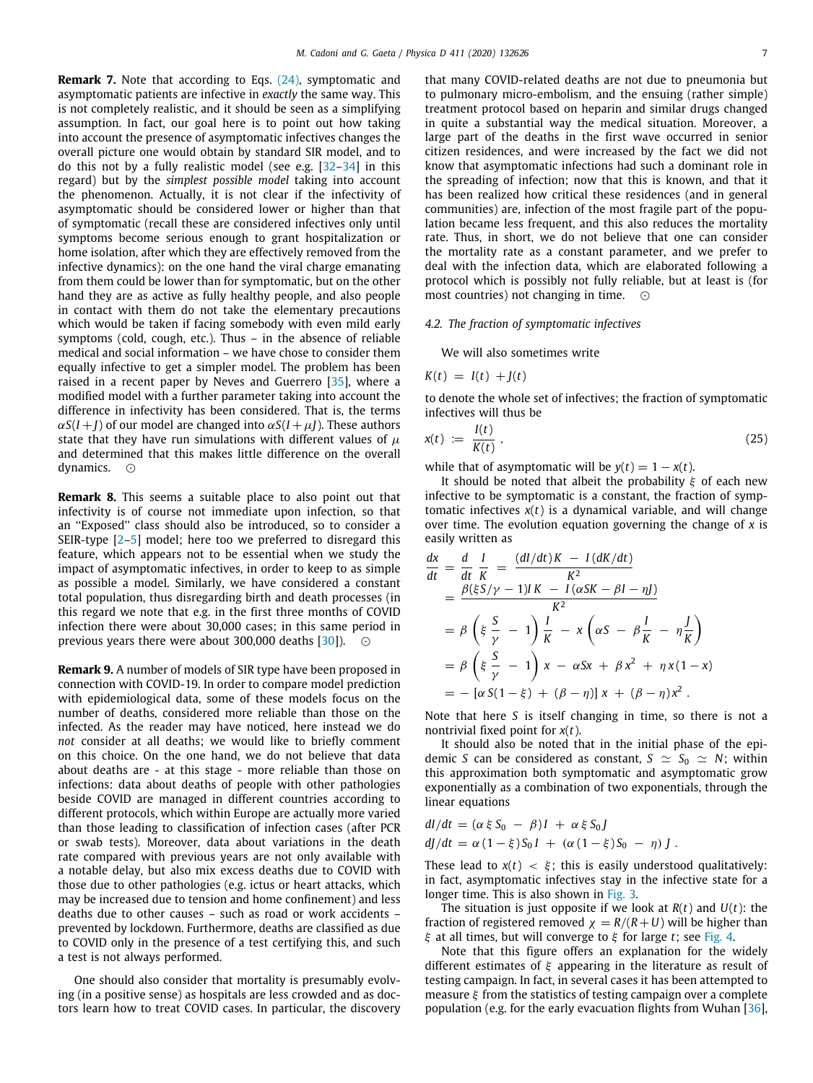**Remark 7.** Note that according to Eqs. [\(24](#page-5-3)), symptomatic and asymptomatic patients are infective in *exactly* the same way. This is not completely realistic, and it should be seen as a simplifying assumption. In fact, our goal here is to point out how taking into account the presence of asymptomatic infectives changes the overall picture one would obtain by standard SIR model, and to do this not by a fully realistic model (see e.g. [[32](#page-13-15)[–34\]](#page-13-16) in this regard) but by the *simplest possible model* taking into account the phenomenon. Actually, it is not clear if the infectivity of asymptomatic should be considered lower or higher than that of symptomatic (recall these are considered infectives only until symptoms become serious enough to grant hospitalization or home isolation, after which they are effectively removed from the infective dynamics): on the one hand the viral charge emanating from them could be lower than for symptomatic, but on the other hand they are as active as fully healthy people, and also people in contact with them do not take the elementary precautions which would be taken if facing somebody with even mild early symptoms (cold, cough, etc.). Thus – in the absence of reliable medical and social information – we have chose to consider them equally infective to get a simpler model. The problem has been raised in a recent paper by Neves and Guerrero [[35](#page-13-17)], where a modified model with a further parameter taking into account the difference in infectivity has been considered. That is, the terms  $\alpha S(I+I)$  of our model are changed into  $\alpha S(I+\mu I)$ . These authors state that they have run simulations with different values of  $\mu$ and determined that this makes little difference on the overall dynamics. ⊙

**Remark 8.** This seems a suitable place to also point out that infectivity is of course not immediate upon infection, so that an ''Exposed'' class should also be introduced, so to consider a SEIR-type [\[2–](#page-12-4)[5](#page-12-1)] model; here too we preferred to disregard this feature, which appears not to be essential when we study the impact of asymptomatic infectives, in order to keep to as simple as possible a model. Similarly, we have considered a constant total population, thus disregarding birth and death processes (in this regard we note that e.g. in the first three months of COVID infection there were about 30,000 cases; in this same period in previous years there were about 300,000 deaths [[30](#page-13-13)]). ⊙

**Remark 9.** A number of models of SIR type have been proposed in connection with COVID-19. In order to compare model prediction with epidemiological data, some of these models focus on the number of deaths, considered more reliable than those on the infected. As the reader may have noticed, here instead we do *not* consider at all deaths; we would like to briefly comment on this choice. On the one hand, we do not believe that data about deaths are - at this stage - more reliable than those on infections: data about deaths of people with other pathologies beside COVID are managed in different countries according to different protocols, which within Europe are actually more varied than those leading to classification of infection cases (after PCR or swab tests). Moreover, data about variations in the death rate compared with previous years are not only available with a notable delay, but also mix excess deaths due to COVID with those due to other pathologies (e.g. ictus or heart attacks, which may be increased due to tension and home confinement) and less deaths due to other causes – such as road or work accidents – prevented by lockdown. Furthermore, deaths are classified as due to COVID only in the presence of a test certifying this, and such a test is not always performed.

One should also consider that mortality is presumably evolving (in a positive sense) as hospitals are less crowded and as doctors learn how to treat COVID cases. In particular, the discovery that many COVID-related deaths are not due to pneumonia but to pulmonary micro-embolism, and the ensuing (rather simple) treatment protocol based on heparin and similar drugs changed in quite a substantial way the medical situation. Moreover, a large part of the deaths in the first wave occurred in senior citizen residences, and were increased by the fact we did not know that asymptomatic infections had such a dominant role in the spreading of infection; now that this is known, and that it has been realized how critical these residences (and in general communities) are, infection of the most fragile part of the population became less frequent, and this also reduces the mortality rate. Thus, in short, we do not believe that one can consider the mortality rate as a constant parameter, and we prefer to deal with the infection data, which are elaborated following a protocol which is possibly not fully reliable, but at least is (for most countries) not changing in time. ⊙

### *4.2. The fraction of symptomatic infectives*

<span id="page-6-0"></span>We will also sometimes write

$$
K(t) = I(t) + J(t)
$$

to denote the whole set of infectives; the fraction of symptomatic infectives will thus be

$$
x(t) := \frac{I(t)}{K(t)}, \qquad (25)
$$

while that of asymptomatic will be  $y(t) = 1 - x(t)$ .

It should be noted that albeit the probability  $\xi$  of each new infective to be symptomatic is a constant, the fraction of symptomatic infectives *x*(*t*) is a dynamical variable, and will change over time. The evolution equation governing the change of *x* is easily written as

$$
\frac{dx}{dt} = \frac{d}{dt} \frac{I}{K} = \frac{(dl/dt)K - I(dK/dt)}{K^2}
$$
\n
$$
= \frac{\beta(\xi S/\gamma - 1)IK - I(\alpha SK - \beta I - \eta J)}{K^2}
$$
\n
$$
= \beta \left(\xi \frac{S}{\gamma} - 1\right) \frac{I}{K} - x \left(\alpha S - \beta \frac{I}{K} - \eta \frac{J}{K}\right)
$$
\n
$$
= \beta \left(\xi \frac{S}{\gamma} - 1\right) x - \alpha S x + \beta x^2 + \eta x (1 - x)
$$
\n
$$
= -\left[\alpha S(1 - \xi) + (\beta - \eta)\right] x + (\beta - \eta)x^2.
$$

Note that here *S* is itself changing in time, so there is not a nontrivial fixed point for *x*(*t*).

It should also be noted that in the initial phase of the epidemic *S* can be considered as constant,  $S \simeq S_0 \simeq N$ ; within this approximation both symptomatic and asymptomatic grow exponentially as a combination of two exponentials, through the linear equations

$$
dI/dt = (\alpha \xi S_0 - \beta)I + \alpha \xi S_0 J
$$
  

$$
dJ/dt = \alpha (1 - \xi)S_0 I + (\alpha (1 - \xi)S_0 - \eta) J.
$$

These lead to  $x(t) < \xi$ ; this is easily understood qualitatively: in fact, asymptomatic infectives stay in the infective state for a longer time. This is also shown in [Fig.](#page-7-1) [3.](#page-7-1)

The situation is just opposite if we look at *R*(*t*) and *U*(*t*): the fraction of registered removed  $\chi = R/(R+U)$  will be higher than ξ at all times, but will converge to ξ for large *t*; see [Fig.](#page-7-2) [4.](#page-7-2)

Note that this figure offers an explanation for the widely different estimates of  $\xi$  appearing in the literature as result of testing campaign. In fact, in several cases it has been attempted to measure  $\xi$  from the statistics of testing campaign over a complete population (e.g. for the early evacuation flights from Wuhan [\[36\]](#page-13-18),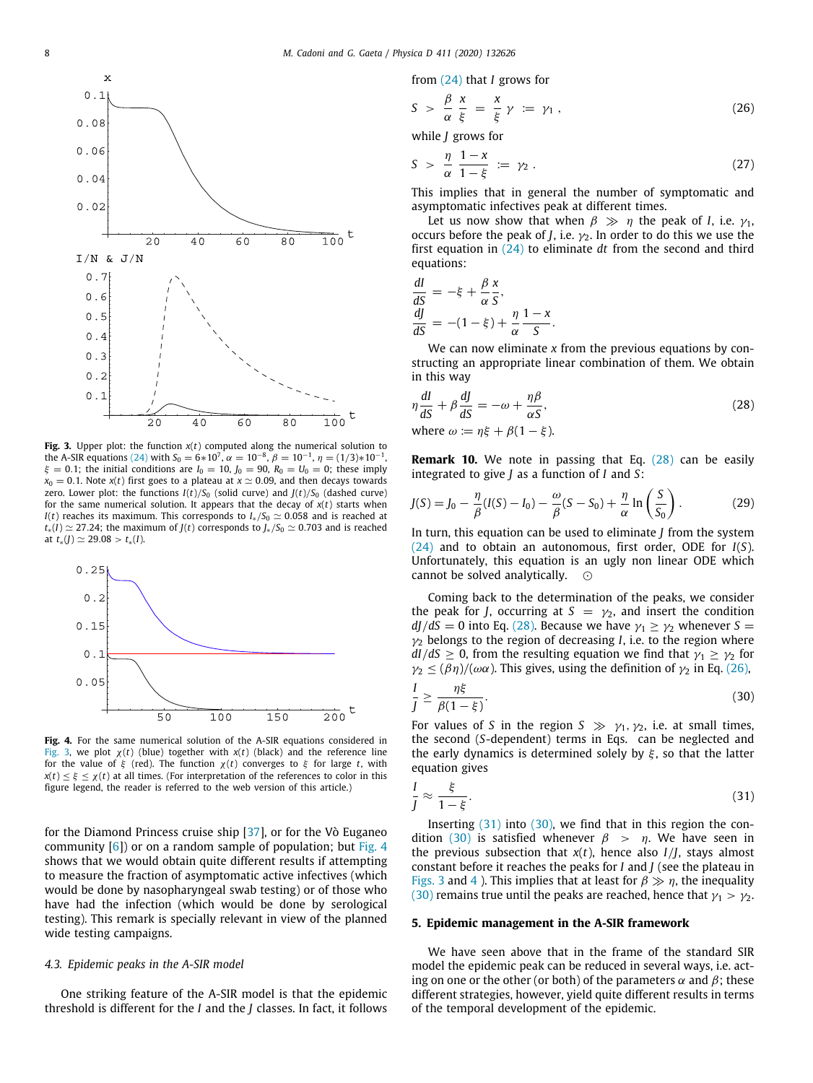

<span id="page-7-1"></span>**Fig. 3.** Upper plot: the function *x*(*t*) computed along the numerical solution to the A-SIR equations [\(24\)](#page-5-3) with  $S_0 = 6*10^7$ ,  $\alpha = 10^{-8}$ ,  $\beta = 10^{-1}$ ,  $\eta = (1/3)*10^{-1}$ ,  $\xi = 0.1$ ; the initial conditions are  $I_0 = 10$ ,  $J_0 = 90$ ,  $R_0 = U_0 = 0$ ; these imply  $x_0 = 0.1$ . Note *x*(*t*) first goes to a plateau at *x*  $\simeq$  0.09, and then decays towards zero. Lower plot: the functions  $I(t)/S_0$  (solid curve) and  $J(t)/S_0$  (dashed curve) for the same numerical solution. It appears that the decay of  $x(t)$  starts when *I*(*t*) reaches its maximum. This corresponds to  $I_*/S_0 \simeq 0.058$  and is reached at *t*<sub>∗</sub>(*I*)  $\simeq$  27.24; the maximum of *J*(*t*) corresponds to *J*<sub>∗</sub>/*S*<sub>0</sub>  $\simeq$  0.703 and is reached at  $t_*(J) \simeq 29.08 > t_*(I)$ .



<span id="page-7-2"></span>**Fig. 4.** For the same numerical solution of the A-SIR equations considered in [Fig.](#page-7-1) [3,](#page-7-1) we plot  $\chi(t)$  (blue) together with  $x(t)$  (black) and the reference line for the value of  $\xi$  (red). The function  $\chi(t)$  converges to  $\xi$  for large t, with  $x(t) \leq \xi \leq \chi(t)$  at all times. (For interpretation of the references to color in this figure legend, the reader is referred to the web version of this article.)

for the Diamond Princess cruise ship [\[37\]](#page-13-19), or for the Vò Euganeo community  $[6]$  $[6]$  $[6]$  or on a random sample of population; but [Fig.](#page-7-2) [4](#page-7-2) shows that we would obtain quite different results if attempting to measure the fraction of asymptomatic active infectives (which would be done by nasopharyngeal swab testing) or of those who have had the infection (which would be done by serological testing). This remark is specially relevant in view of the planned wide testing campaigns.

#### *4.3. Epidemic peaks in the A-SIR model*

One striking feature of the A-SIR model is that the epidemic threshold is different for the *I* and the *J* classes. In fact, it follows

from [\(24\)](#page-5-3) that *I* grows for

<span id="page-7-4"></span>
$$
S > \frac{\beta}{\alpha} \frac{x}{\xi} = \frac{x}{\xi} \gamma \coloneqq \gamma_1 \,, \tag{26}
$$

<span id="page-7-7"></span>while *J* grows for

$$
S > \frac{\eta}{\alpha} \frac{1-x}{1-\xi} := \gamma_2 \,. \tag{27}
$$

This implies that in general the number of symptomatic and asymptomatic infectives peak at different times.

Let us now show that when  $\beta \gg \eta$  the peak of *I*, i.e.  $\gamma_1$ , occurs before the peak of *J*, i.e.  $\gamma_2$ . In order to do this we use the first equation in [\(24\)](#page-5-3) to eliminate *dt* from the second and third equations:

$$
\frac{dI}{dS} = -\xi + \frac{\beta x}{\alpha S},
$$
  
\n
$$
\frac{dJ}{dS} = -(1 - \xi) + \frac{\eta}{\alpha} \frac{1 - x}{S}.
$$

We can now eliminate *x* from the previous equations by constructing an appropriate linear combination of them. We obtain in this way

<span id="page-7-3"></span>
$$
\eta \frac{dl}{dS} + \beta \frac{dJ}{dS} = -\omega + \frac{\eta \beta}{\alpha S},\tag{28}
$$

where  $\omega \coloneqq \eta \xi + \beta(1 - \xi)$ .

**Remark 10.** We note in passing that Eq. ([28\)](#page-7-3) can be easily integrated to give *J* as a function of *I* and *S*:

$$
J(S) = J_0 - \frac{\eta}{\beta}(I(S) - I_0) - \frac{\omega}{\beta}(S - S_0) + \frac{\eta}{\alpha}\ln\left(\frac{S}{S_0}\right). \tag{29}
$$

In turn, this equation can be used to eliminate *J* from the system ([24](#page-5-3)) and to obtain an autonomous, first order, ODE for *I*(*S*). Unfortunately, this equation is an ugly non linear ODE which cannot be solved analytically. ⊙

Coming back to the determination of the peaks, we consider the peak for *J*, occurring at  $S = \gamma_2$ , and insert the condition *dJ*/*dS* = 0 into Eq. ([28](#page-7-3)). Because we have  $\gamma_1 \geq \gamma_2$  whenever *S* =  $y_2$  belongs to the region of decreasing *I*, i.e. to the region where  $dI/dS \geq 0$ , from the resulting equation we find that  $\gamma_1 \geq \gamma_2$  for  $\gamma_2 \leq (\beta \eta)/(\omega \alpha)$ . This gives, using the definition of  $\gamma_2$  in Eq. ([26](#page-7-4)),

<span id="page-7-6"></span>
$$
\frac{I}{J} \ge \frac{\eta \xi}{\beta (1 - \xi)}.\tag{30}
$$

For values of *S* in the region  $S \gg \gamma_1, \gamma_2$ , i.e. at small times, the second (*S*-dependent) terms in Eqs. can be neglected and the early dynamics is determined solely by  $\xi$ , so that the latter equation gives

<span id="page-7-5"></span>
$$
\frac{I}{J} \approx \frac{\xi}{1 - \xi}.\tag{31}
$$

Inserting  $(31)$  into  $(30)$ , we find that in this region the con-dition [\(30\)](#page-7-6) is satisfied whenever  $\beta > \eta$ . We have seen in the previous subsection that  $x(t)$ , hence also  $I/J$ , stays almost constant before it reaches the peaks for *I* and *J* (see the plateau in [Figs.](#page-7-1) [3](#page-7-1) and [4](#page-7-2) ). This implies that at least for  $\beta \gg \eta$ , the inequality ([30](#page-7-6)) remains true until the peaks are reached, hence that  $\gamma_1 > \gamma_2$ .

#### **5. Epidemic management in the A-SIR framework**

<span id="page-7-0"></span>We have seen above that in the frame of the standard SIR model the epidemic peak can be reduced in several ways, i.e. acting on one or the other (or both) of the parameters  $\alpha$  and  $\beta$ ; these different strategies, however, yield quite different results in terms of the temporal development of the epidemic.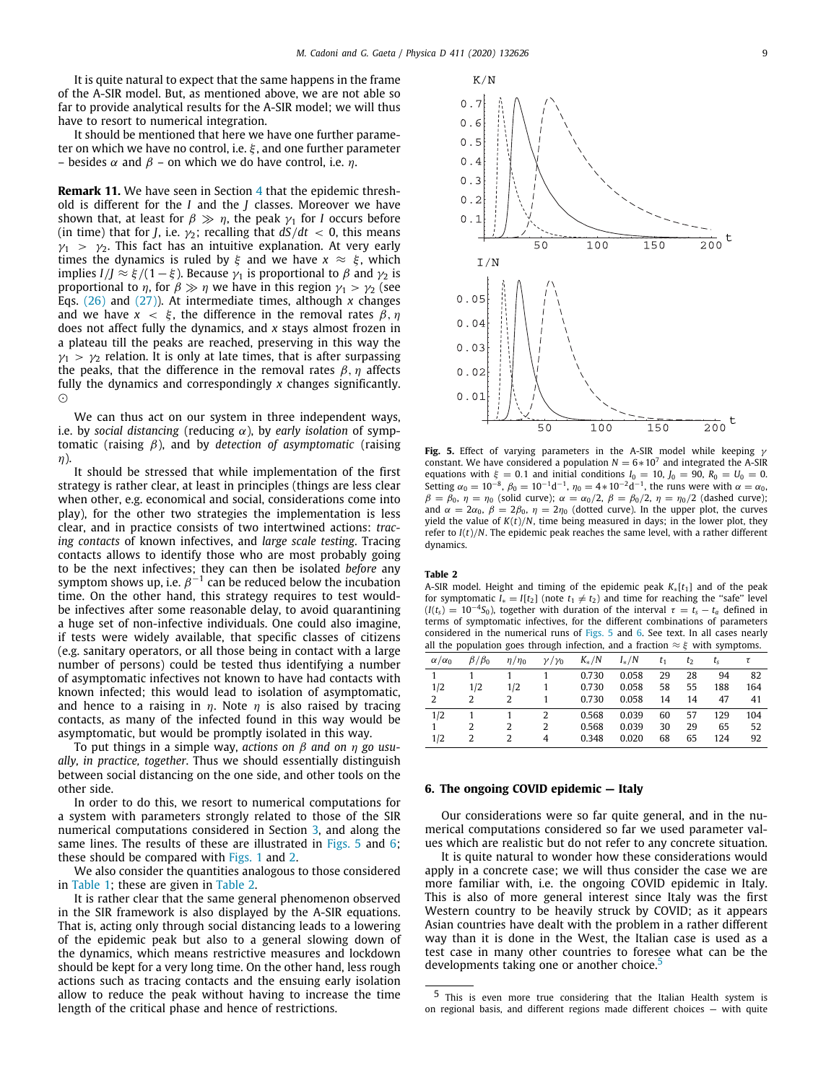It is quite natural to expect that the same happens in the frame of the A-SIR model. But, as mentioned above, we are not able so far to provide analytical results for the A-SIR model; we will thus have to resort to numerical integration.

It should be mentioned that here we have one further parameter on which we have no control, i.e.  $\xi$ , and one further parameter – besides  $\alpha$  and  $\beta$  – on which we do have control, i.e.  $\eta$ .

**Remark 11.** We have seen in Section [4](#page-5-0) that the epidemic threshold is different for the *I* and the *J* classes. Moreover we have shown that, at least for  $\beta \gg \eta$ , the peak  $\gamma_1$  for *I* occurs before (in time) that for *J*, i.e.  $\gamma_2$ ; recalling that  $dS/dt < 0$ , this means  $\gamma_1$  >  $\gamma_2$ . This fact has an intuitive explanation. At very early times the dynamics is ruled by  $\xi$  and we have  $x \approx \xi$ , which implies *I*/*J* ≈ ξ/(1 − ξ). Because  $γ_1$  is proportional to  $β$  and  $γ_2$  is proportional to  $\eta$ , for  $\beta \gg \eta$  we have in this region  $\gamma_1 > \gamma_2$  (see Eqs. ([26](#page-7-4)) and [\(27\)](#page-7-7)). At intermediate times, although *x* changes and we have  $x < \xi$ , the difference in the removal rates  $\beta$ ,  $\eta$ does not affect fully the dynamics, and *x* stays almost frozen in a plateau till the peaks are reached, preserving in this way the  $\gamma_1 > \gamma_2$  relation. It is only at late times, that is after surpassing the peaks, that the difference in the removal rates  $\beta$ ,  $\eta$  affects fully the dynamics and correspondingly *x* changes significantly. ⊙

We can thus act on our system in three independent ways, i.e. by *social distancing* (reducing α), by *early isolation* of symptomatic (raising β), and by *detection of asymptomatic* (raising η).

It should be stressed that while implementation of the first strategy is rather clear, at least in principles (things are less clear when other, e.g. economical and social, considerations come into play), for the other two strategies the implementation is less clear, and in practice consists of two intertwined actions: *tracing contacts* of known infectives, and *large scale testing*. Tracing contacts allows to identify those who are most probably going to be the next infectives; they can then be isolated *before* any symptom shows up, i.e.  $\beta^{-1}$  can be reduced below the incubation time. On the other hand, this strategy requires to test wouldbe infectives after some reasonable delay, to avoid quarantining a huge set of non-infective individuals. One could also imagine, if tests were widely available, that specific classes of citizens (e.g. sanitary operators, or all those being in contact with a large number of persons) could be tested thus identifying a number of asymptomatic infectives not known to have had contacts with known infected; this would lead to isolation of asymptomatic, and hence to a raising in  $\eta$ . Note  $\eta$  is also raised by tracing contacts, as many of the infected found in this way would be asymptomatic, but would be promptly isolated in this way.

To put things in a simple way, *actions on* β *and on* η *go usually, in practice, together*. Thus we should essentially distinguish between social distancing on the one side, and other tools on the other side.

In order to do this, we resort to numerical computations for a system with parameters strongly related to those of the SIR numerical computations considered in Section [3](#page-4-0), and along the same lines. The results of these are illustrated in [Figs.](#page-8-1) [5](#page-8-1) and [6;](#page-9-0) these should be compared with [Figs.](#page-4-3) [1](#page-4-3) and [2.](#page-4-4)

We also consider the quantities analogous to those considered in [Table](#page-5-1) [1;](#page-5-1) these are given in [Table](#page-8-2) [2.](#page-8-2)

It is rather clear that the same general phenomenon observed in the SIR framework is also displayed by the A-SIR equations. That is, acting only through social distancing leads to a lowering of the epidemic peak but also to a general slowing down of the dynamics, which means restrictive measures and lockdown should be kept for a very long time. On the other hand, less rough actions such as tracing contacts and the ensuing early isolation allow to reduce the peak without having to increase the time length of the critical phase and hence of restrictions.



<span id="page-8-1"></span>**Fig. 5.** Effect of varying parameters in the A-SIR model while keeping γ constant. We have considered a population  $N = 6*10^7$  and integrated the A-SIR equations with  $\xi = 0.1$  and initial conditions  $I_0 = 10$ ,  $J_0 = 90$ ,  $R_0 = U_0 = 0$ .<br>Setting  $\alpha_0 = 10^{-8}$ ,  $\beta_0 = 10^{-1}d^{-1}$ ,  $\eta_0 = 4 * 10^{-2}d^{-1}$ , the runs were with  $\alpha = \alpha_0$ .  $\beta = \beta_0$ ,  $\eta = \eta_0$  (solid curve);  $\alpha = \alpha_0/2$ ,  $\beta = \beta_0/2$ ,  $\eta = \eta_0/2$  (dashed curve); and  $\alpha = 2\alpha_0$ ,  $\beta = 2\beta_0$ ,  $\eta = 2\eta_0$  (dotted curve). In the upper plot, the curves yield the value of *K*(*t*)/*N*, time being measured in days; in the lower plot, they refer to  $I(t)/N$ . The epidemic peak reaches the same level, with a rather different dynamics.

**Table 2**

A-SIR model. Height and timing of the epidemic peak *K*∗[*t*1] and of the peak for symptomatic  $I_* = I[t_2]$  (note  $t_1 \neq t_2$ ) and time for reaching the "safe" level  $(I(t<sub>s</sub>) = 10<sup>-4</sup>S<sub>0</sub>)$ , together with duration of the interval  $\tau = t<sub>s</sub> - t<sub>a</sub>$  defined in terms of symptomatic infectives, for the different combinations of parameters considered in the numerical runs of [Figs.](#page-8-1) [5](#page-8-1) and [6.](#page-9-0) See text. In all cases nearly all the population goes through infection, and a fraction  $\approx \xi$  with symptoms.

<span id="page-8-2"></span>

| $\alpha/\alpha_0$ | $\beta/\beta_0$ | $\eta/\eta_0$ | $\gamma/\gamma_0$ | $K_{*}/N$ | $I_{*}/N$ | t1 | t2 | t   | τ   |
|-------------------|-----------------|---------------|-------------------|-----------|-----------|----|----|-----|-----|
|                   |                 |               |                   | 0.730     | 0.058     | 29 | 28 | 94  | 82  |
| 1/2               | 1/2             | 1/2           |                   | 0.730     | 0.058     | 58 | 55 | 188 | 164 |
| $\overline{2}$    | 2               | 2             |                   | 0.730     | 0.058     | 14 | 14 | 47  | 41  |
| 1/2               |                 |               | 2                 | 0.568     | 0.039     | 60 | 57 | 129 | 104 |
|                   | 2               | 2             | 2                 | 0.568     | 0.039     | 30 | 29 | 65  | 52  |
| 1/2               | 2               |               | 4                 | 0.348     | 0.020     | 68 | 65 | 124 | 92  |

#### **6. The ongoing COVID epidemic — Italy**

<span id="page-8-0"></span>Our considerations were so far quite general, and in the numerical computations considered so far we used parameter values which are realistic but do not refer to any concrete situation.

It is quite natural to wonder how these considerations would apply in a concrete case; we will thus consider the case we are more familiar with, i.e. the ongoing COVID epidemic in Italy. This is also of more general interest since Italy was the first Western country to be heavily struck by COVID; as it appears Asian countries have dealt with the problem in a rather different way than it is done in the West, the Italian case is used as a test case in many other countries to foresee what can be the developments taking one or another choice.<sup>[5](#page-8-3)</sup>

<span id="page-8-3"></span><sup>5</sup> This is even more true considering that the Italian Health system is on regional basis, and different regions made different choices — with quite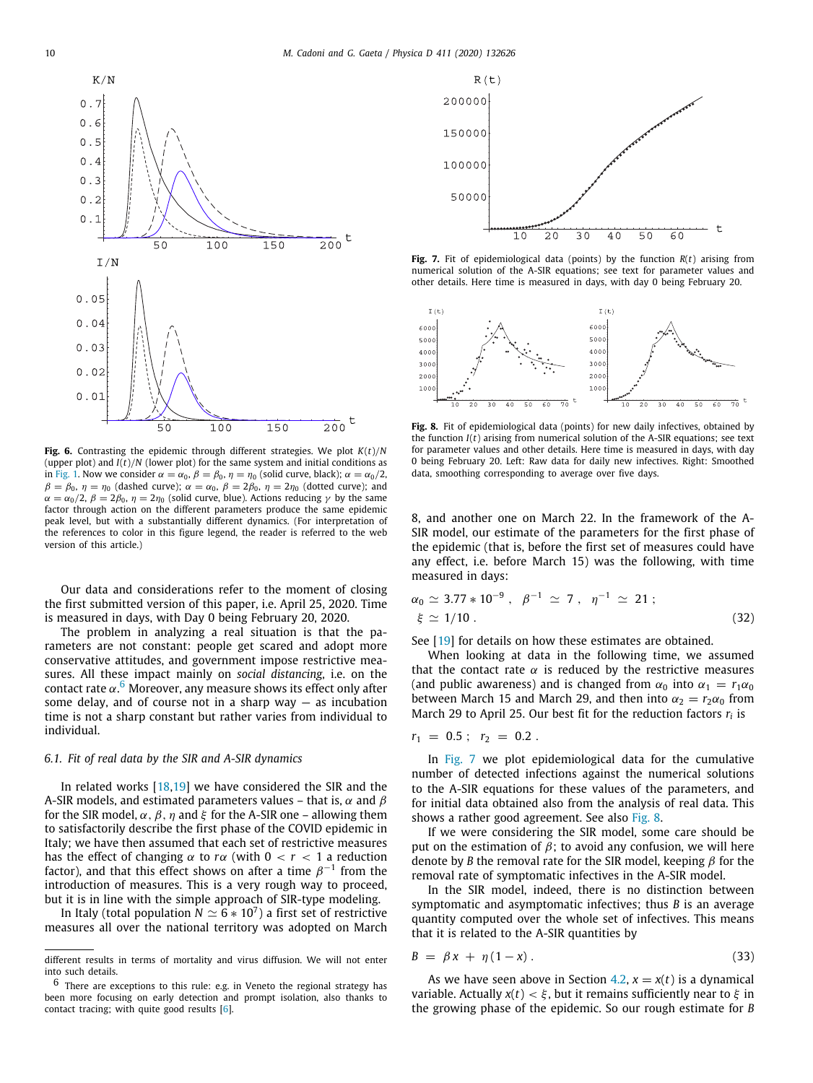

<span id="page-9-0"></span>**Fig. 6.** Contrasting the epidemic through different strategies. We plot  $K(t)/N$ (upper plot) and *I*(*t*)/*N* (lower plot) for the same system and initial conditions as in [Fig.](#page-4-3) [1](#page-4-3). Now we consider  $\alpha = \alpha_0$ ,  $\beta = \beta_0$ ,  $\eta = \eta_0$  (solid curve, black);  $\alpha = \alpha_0/2$ ,  $\beta = \beta_0$ ,  $\eta = \eta_0$  (dashed curve);  $\alpha = \alpha_0$ ,  $\beta = 2\beta_0$ ,  $\eta = 2\eta_0$  (dotted curve); and  $\alpha = \alpha_0/2$ ,  $\beta = 2\beta_0$ ,  $\eta = 2\eta_0$  (solid curve, blue). Actions reducing  $\gamma$  by the same factor through action on the different parameters produce the same epidemic peak level, but with a substantially different dynamics. (For interpretation of the references to color in this figure legend, the reader is referred to the web version of this article.)

Our data and considerations refer to the moment of closing the first submitted version of this paper, i.e. April 25, 2020. Time is measured in days, with Day 0 being February 20, 2020.

<span id="page-9-1"></span>The problem in analyzing a real situation is that the parameters are not constant: people get scared and adopt more conservative attitudes, and government impose restrictive measures. All these impact mainly on *social distancing*, i.e. on the contact rate  $\alpha.$   $^6$  $^6$  Moreover, any measure shows its effect only after some delay, and of course not in a sharp way  $-$  as incubation time is not a sharp constant but rather varies from individual to individual.

## *6.1. Fit of real data by the SIR and A-SIR dynamics*

In related works [\[18,](#page-13-1)[19](#page-13-4)] we have considered the SIR and the A-SIR models, and estimated parameters values – that is,  $\alpha$  and  $\beta$ for the SIR model,  $\alpha$ ,  $\beta$ ,  $\eta$  and  $\xi$  for the A-SIR one – allowing them to satisfactorily describe the first phase of the COVID epidemic in Italy; we have then assumed that each set of restrictive measures has the effect of changing  $\alpha$  to  $r\alpha$  (with  $0 < r < 1$  a reduction factor), and that this effect shows on after a time  $\beta^{-1}$  from the introduction of measures. This is a very rough way to proceed, but it is in line with the simple approach of SIR-type modeling.

In Italy (total population  $N\simeq 6*10^7)$  a first set of restrictive measures all over the national territory was adopted on March



<span id="page-9-2"></span>**Fig. 7.** Fit of epidemiological data (points) by the function *R*(*t*) arising from numerical solution of the A-SIR equations; see text for parameter values and other details. Here time is measured in days, with day 0 being February 20.



<span id="page-9-3"></span>**Fig. 8.** Fit of epidemiological data (points) for new daily infectives, obtained by the function *I*(*t*) arising from numerical solution of the A-SIR equations; see text for parameter values and other details. Here time is measured in days, with day 0 being February 20. Left: Raw data for daily new infectives. Right: Smoothed data, smoothing corresponding to average over five days.

8, and another one on March 22. In the framework of the A-SIR model, our estimate of the parameters for the first phase of the epidemic (that is, before the first set of measures could have any effect, i.e. before March 15) was the following, with time measured in days:

$$
\alpha_0 \simeq 3.77 * 10^{-9} , \ \beta^{-1} \simeq 7 , \ \eta^{-1} \simeq 21 ;
$$
  
 
$$
\xi \simeq 1/10 .
$$
 (32)

See [[19](#page-13-4)] for details on how these estimates are obtained.

When looking at data in the following time, we assumed that the contact rate  $\alpha$  is reduced by the restrictive measures (and public awareness) and is changed from  $\alpha_0$  into  $\alpha_1 = r_1 \alpha_0$ between March 15 and March 29, and then into  $\alpha_2 = r_2 \alpha_0$  from March 29 to April 25. Our best fit for the reduction factors  $r_i$  is

$$
r_1 = 0.5 \; ; \; r_2 = 0.2 \; .
$$

In [Fig.](#page-9-2) [7](#page-9-2) we plot epidemiological data for the cumulative number of detected infections against the numerical solutions to the A-SIR equations for these values of the parameters, and for initial data obtained also from the analysis of real data. This shows a rather good agreement. See also [Fig.](#page-9-3) [8.](#page-9-3)

If we were considering the SIR model, some care should be put on the estimation of  $\beta$ ; to avoid any confusion, we will here denote by *B* the removal rate for the SIR model, keeping  $\beta$  for the removal rate of symptomatic infectives in the A-SIR model.

In the SIR model, indeed, there is no distinction between symptomatic and asymptomatic infectives; thus *B* is an average quantity computed over the whole set of infectives. This means that it is related to the A-SIR quantities by

$$
B = \beta x + \eta (1 - x). \tag{33}
$$

As we have seen above in Section [4.2](#page-6-0),  $x = x(t)$  is a dynamical variable. Actually  $x(t) < \xi$ , but it remains sufficiently near to  $\xi$  in the growing phase of the epidemic. So our rough estimate for *B*

different results in terms of mortality and virus diffusion. We will not enter into such details.

<sup>6</sup> There are exceptions to this rule: e.g. in Veneto the regional strategy has been more focusing on early detection and prompt isolation, also thanks to contact tracing; with quite good results [[6](#page-12-2)].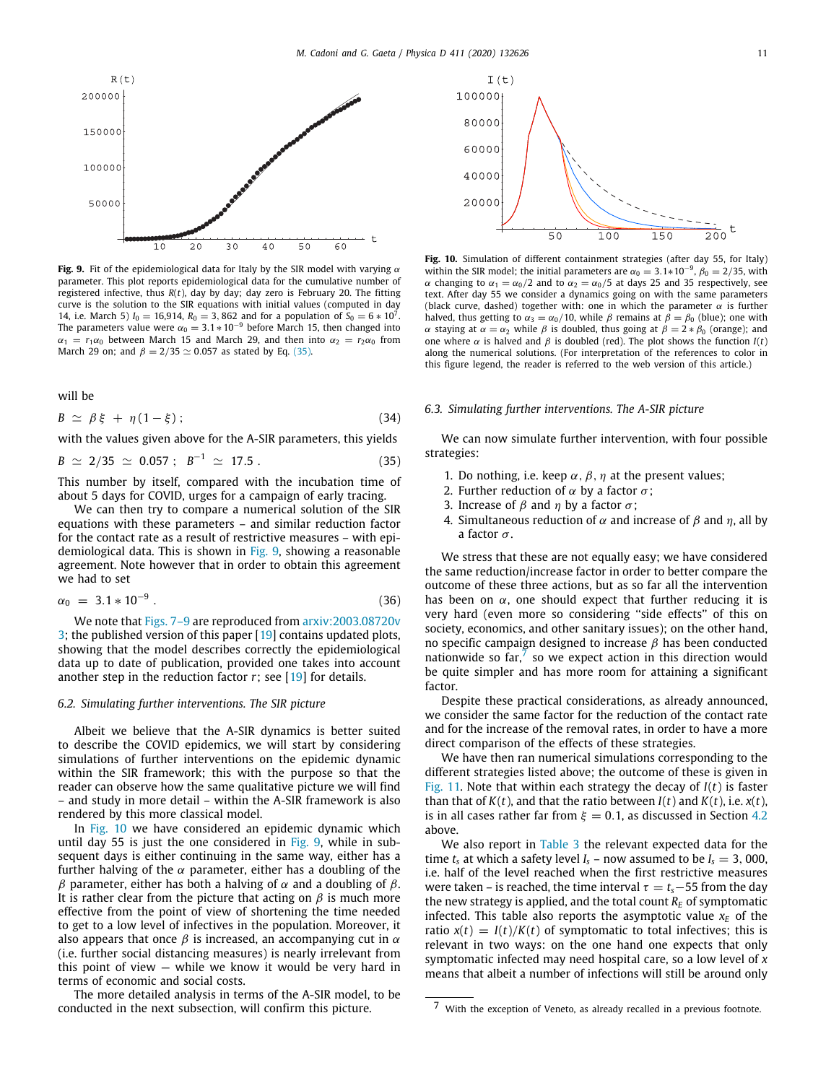

<span id="page-10-1"></span>**Fig. 9.** Fit of the epidemiological data for Italy by the SIR model with varying  $\alpha$ parameter. This plot reports epidemiological data for the cumulative number of registered infective, thus *R*(*t*), day by day; day zero is February 20. The fitting curve is the solution to the SIR equations with initial values (computed in day 14, i.e. March 5)  $I_0 = 16,914$ ,  $R_0 = 3,862$  and for a population of  $S_0 = 6 * 10^7$ . The parameters value were  $\alpha_0 = 3.1 * 10^{-9}$  before March 15, then changed into  $\alpha_1 = r_1 \alpha_0$  between March 15 and March 29, and then into  $\alpha_2 = r_2 \alpha_0$  from March 29 on; and  $\beta = 2/35 \simeq 0.057$  $\beta = 2/35 \simeq 0.057$  $\beta = 2/35 \simeq 0.057$  as stated by Eq. (35).

will be

$$
B \simeq \beta \xi + \eta (1 - \xi) ; \qquad (34)
$$

with the values given above for the A-SIR parameters, this yields

$$
B \simeq 2/35 \simeq 0.057 \; ; \; B^{-1} \simeq 17.5 \; . \tag{35}
$$

This number by itself, compared with the incubation time of about 5 days for COVID, urges for a campaign of early tracing.

We can then try to compare a numerical solution of the SIR equations with these parameters – and similar reduction factor for the contact rate as a result of restrictive measures – with epidemiological data. This is shown in [Fig.](#page-10-1) [9](#page-10-1), showing a reasonable agreement. Note however that in order to obtain this agreement we had to set

$$
\alpha_0 = 3.1 \times 10^{-9} \,. \tag{36}
$$

We note that [Figs.](#page-9-2) [7](#page-9-2)-9 are reproduced from [arxiv:2003.08720v](http://arxiv.org/abs/2003.08720v3) [3](http://arxiv.org/abs/2003.08720v3); the published version of this paper [[19\]](#page-13-4) contains updated plots, showing that the model describes correctly the epidemiological data up to date of publication, provided one takes into account another step in the reduction factor *r*; see [\[19\]](#page-13-4) for details.

### *6.2. Simulating further interventions. The SIR picture*

Albeit we believe that the A-SIR dynamics is better suited to describe the COVID epidemics, we will start by considering simulations of further interventions on the epidemic dynamic within the SIR framework; this with the purpose so that the reader can observe how the same qualitative picture we will find – and study in more detail – within the A-SIR framework is also rendered by this more classical model.

In [Fig.](#page-10-2) [10](#page-10-2) we have considered an epidemic dynamic which until day 55 is just the one considered in [Fig.](#page-10-1) [9,](#page-10-1) while in subsequent days is either continuing in the same way, either has a further halving of the  $\alpha$  parameter, either has a doubling of the  $β$  parameter, either has both a halving of  $α$  and a doubling of  $β$ . It is rather clear from the picture that acting on  $\beta$  is much more effective from the point of view of shortening the time needed to get to a low level of infectives in the population. Moreover, it also appears that once  $\beta$  is increased, an accompanying cut in  $\alpha$ (i.e. further social distancing measures) is nearly irrelevant from this point of view — while we know it would be very hard in terms of economic and social costs.

The more detailed analysis in terms of the A-SIR model, to be conducted in the next subsection, will confirm this picture.



<span id="page-10-2"></span>**Fig. 10.** Simulation of different containment strategies (after day 55, for Italy) within the SIR model; the initial parameters are  $\alpha_0 = 3.1*10^{-9}$ ,  $\beta_0 = 2/35$ , with α changing to  $\alpha_1 = \alpha_0/2$  and to  $\alpha_2 = \alpha_0/5$  at days 25 and 35 respectively, see text. After day 55 we consider a dynamics going on with the same parameters (black curve, dashed) together with: one in which the parameter  $\alpha$  is further halved, thus getting to  $\alpha_3 = \alpha_0/10$ , while  $\beta$  remains at  $\beta = \beta_0$  (blue); one with α staying at  $\alpha = \alpha_2$  while β is doubled, thus going at  $\beta = 2 * β_0$  (orange); and one where  $\alpha$  is halved and  $\beta$  is doubled (red). The plot shows the function *I*(*t*) along the numerical solutions. (For interpretation of the references to color in this figure legend, the reader is referred to the web version of this article.)

#### *6.3. Simulating further interventions. The A-SIR picture*

<span id="page-10-0"></span>We can now simulate further intervention, with four possible strategies:

- 1. Do nothing, i.e. keep  $\alpha$ ,  $\beta$ ,  $\eta$  at the present values;
- 2. Further reduction of  $\alpha$  by a factor  $\sigma$ ;
- 3. Increase of  $\beta$  and  $\eta$  by a factor  $\sigma$ ;
- 4. Simultaneous reduction of  $\alpha$  and increase of  $\beta$  and  $\eta$ , all by a factor  $\sigma$ .

We stress that these are not equally easy; we have considered the same reduction/increase factor in order to better compare the outcome of these three actions, but as so far all the intervention has been on  $\alpha$ , one should expect that further reducing it is very hard (even more so considering "side effects" of this on society, economics, and other sanitary issues); on the other hand, no specific campaign designed to increase β has been conducted nationwide so  $far<sub>1</sub><sup>7</sup>$  $far<sub>1</sub><sup>7</sup>$  $far<sub>1</sub><sup>7</sup>$  so we expect action in this direction would be quite simpler and has more room for attaining a significant factor.

<span id="page-10-3"></span>Despite these practical considerations, as already announced, we consider the same factor for the reduction of the contact rate and for the increase of the removal rates, in order to have a more direct comparison of the effects of these strategies.

We have then ran numerical simulations corresponding to the different strategies listed above; the outcome of these is given in [Fig.](#page-11-0) [11](#page-11-0). Note that within each strategy the decay of *I*(*t*) is faster than that of  $K(t)$ , and that the ratio between  $I(t)$  and  $K(t)$ , i.e.  $x(t)$ , is in all cases rather far from  $\xi = 0.1$ , as discussed in Section [4.2](#page-6-0) above.

We also report in [Table](#page-11-1) [3](#page-11-1) the relevant expected data for the time  $t_s$  at which a safety level  $I_s$  – now assumed to be  $I_s = 3$ , 000, i.e. half of the level reached when the first restrictive measures were taken – is reached, the time interval  $\tau = t_s - 55$  from the day the new strategy is applied, and the total count  $R_F$  of symptomatic infected. This table also reports the asymptotic value  $x_F$  of the ratio  $x(t) = I(t)/K(t)$  of symptomatic to total infectives; this is relevant in two ways: on the one hand one expects that only symptomatic infected may need hospital care, so a low level of *x* means that albeit a number of infections will still be around only

With the exception of Veneto, as already recalled in a previous footnote.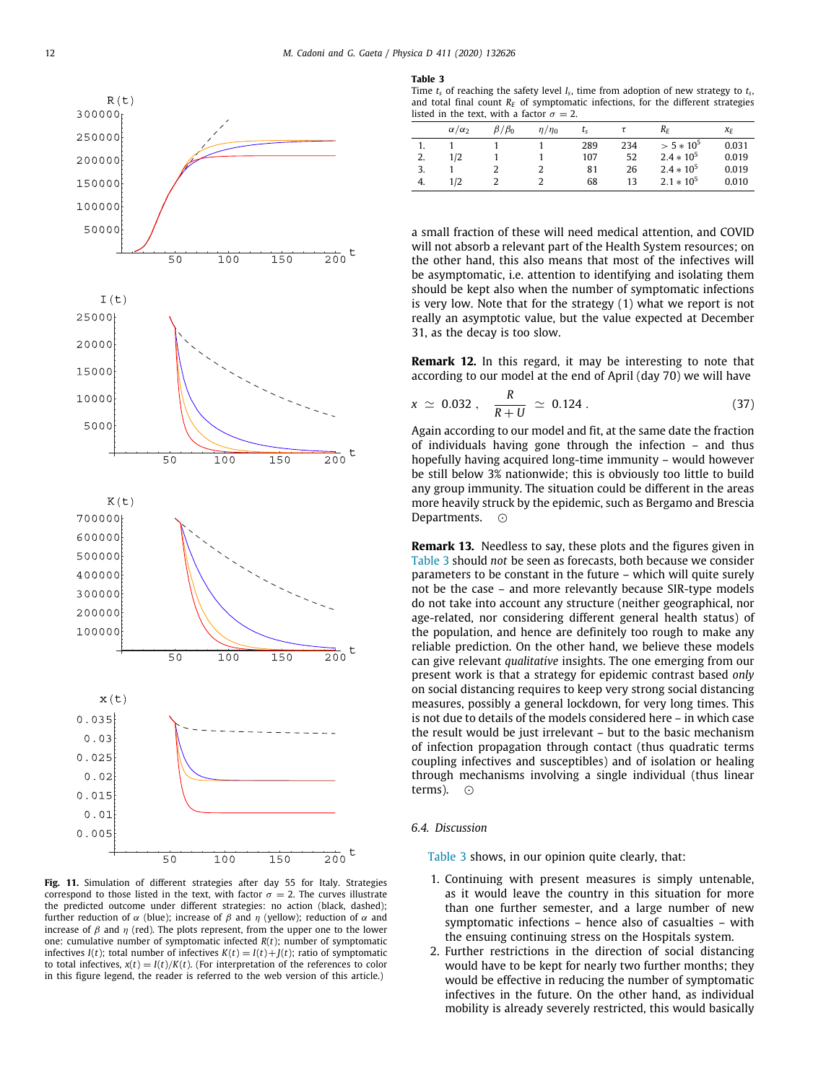

<span id="page-11-0"></span>**Fig. 11.** Simulation of different strategies after day 55 for Italy. Strategies correspond to those listed in the text, with factor  $\sigma = 2$ . The curves illustrate the predicted outcome under different strategies: no action (black, dashed); further reduction of  $\alpha$  (blue); increase of  $\beta$  and  $\eta$  (yellow); reduction of  $\alpha$  and increase of  $β$  and  $η$  (red). The plots represent, from the upper one to the lower one: cumulative number of symptomatic infected *R*(*t*); number of symptomatic infectives  $I(t)$ ; total number of infectives  $K(t) = I(t) + J(t)$ ; ratio of symptomatic to total infectives,  $x(t) = I(t)/K(t)$ . (For interpretation of the references to color in this figure legend, the reader is referred to the web version of this article.)

#### **Table 3**

Time  $t_s$  of reaching the safety level  $I_s$ , time from adoption of new strategy to  $t_s$ and total final count  $R_E$  of symptomatic infections, for the different strategies listed in the text, with a factor  $\sigma = 2$ .

<span id="page-11-1"></span>

|    | $\alpha/\alpha_2$ | $\beta/\beta_0$ | $\eta/\eta_0$ | Lç  |     | $R_F$        | $X_F$ |
|----|-------------------|-----------------|---------------|-----|-----|--------------|-------|
|    |                   |                 |               | 289 | 234 | $> 5 * 10^5$ | 0.031 |
| 2. | 1/2               |                 |               | 107 | 52  | $2.4 * 10^5$ | 0.019 |
| 3. |                   |                 |               | 81  | 26  | $2.4 * 10^5$ | 0.019 |
| 4. | 1/2               |                 |               | 68  | 13  | $2.1 * 10^5$ | 0.010 |
|    |                   |                 |               |     |     |              |       |

a small fraction of these will need medical attention, and COVID will not absorb a relevant part of the Health System resources; on the other hand, this also means that most of the infectives will be asymptomatic, i.e. attention to identifying and isolating them should be kept also when the number of symptomatic infections is very low. Note that for the strategy (1) what we report is not really an asymptotic value, but the value expected at December 31, as the decay is too slow.

**Remark 12.** In this regard, it may be interesting to note that according to our model at the end of April (day 70) we will have

$$
x \simeq 0.032 \; , \quad \frac{R}{R+U} \simeq 0.124 \; . \tag{37}
$$

Again according to our model and fit, at the same date the fraction of individuals having gone through the infection – and thus hopefully having acquired long-time immunity – would however be still below 3% nationwide; this is obviously too little to build any group immunity. The situation could be different in the areas more heavily struck by the epidemic, such as Bergamo and Brescia Departments. ⊙

**Remark 13.** Needless to say, these plots and the figures given in [Table](#page-11-1) [3](#page-11-1) should *not* be seen as forecasts, both because we consider parameters to be constant in the future – which will quite surely not be the case – and more relevantly because SIR-type models do not take into account any structure (neither geographical, nor age-related, nor considering different general health status) of the population, and hence are definitely too rough to make any reliable prediction. On the other hand, we believe these models can give relevant *qualitative* insights. The one emerging from our present work is that a strategy for epidemic contrast based *only* on social distancing requires to keep very strong social distancing measures, possibly a general lockdown, for very long times. This is not due to details of the models considered here – in which case the result would be just irrelevant – but to the basic mechanism of infection propagation through contact (thus quadratic terms coupling infectives and susceptibles) and of isolation or healing through mechanisms involving a single individual (thus linear terms). ⊙

## *6.4. Discussion*

[Table](#page-11-1) [3](#page-11-1) shows, in our opinion quite clearly, that:

- 1. Continuing with present measures is simply untenable, as it would leave the country in this situation for more than one further semester, and a large number of new symptomatic infections – hence also of casualties – with the ensuing continuing stress on the Hospitals system.
- 2. Further restrictions in the direction of social distancing would have to be kept for nearly two further months; they would be effective in reducing the number of symptomatic infectives in the future. On the other hand, as individual mobility is already severely restricted, this would basically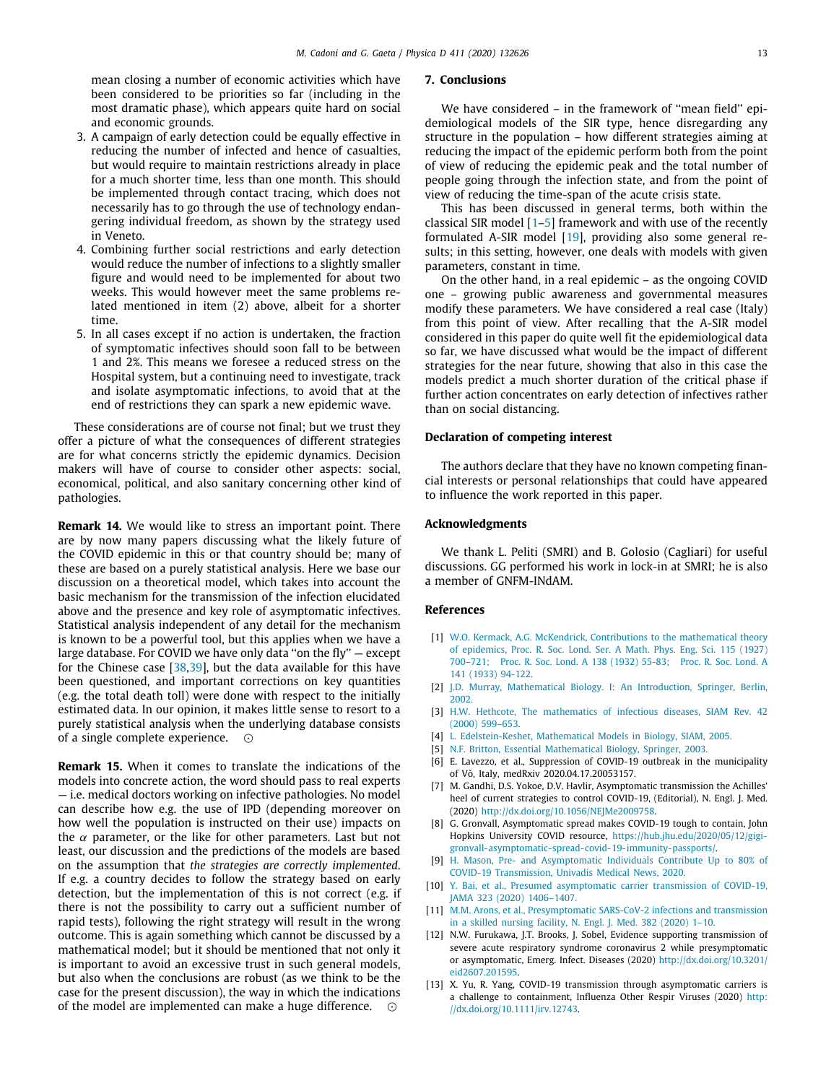mean closing a number of economic activities which have been considered to be priorities so far (including in the most dramatic phase), which appears quite hard on social and economic grounds.

- 3. A campaign of early detection could be equally effective in reducing the number of infected and hence of casualties, but would require to maintain restrictions already in place for a much shorter time, less than one month. This should be implemented through contact tracing, which does not necessarily has to go through the use of technology endangering individual freedom, as shown by the strategy used in Veneto.
- 4. Combining further social restrictions and early detection would reduce the number of infections to a slightly smaller figure and would need to be implemented for about two weeks. This would however meet the same problems related mentioned in item (2) above, albeit for a shorter time.
- 5. In all cases except if no action is undertaken, the fraction of symptomatic infectives should soon fall to be between 1 and 2%. This means we foresee a reduced stress on the Hospital system, but a continuing need to investigate, track and isolate asymptomatic infections, to avoid that at the end of restrictions they can spark a new epidemic wave.

These considerations are of course not final; but we trust they offer a picture of what the consequences of different strategies are for what concerns strictly the epidemic dynamics. Decision makers will have of course to consider other aspects: social, economical, political, and also sanitary concerning other kind of pathologies.

**Remark 14.** We would like to stress an important point. There are by now many papers discussing what the likely future of the COVID epidemic in this or that country should be; many of these are based on a purely statistical analysis. Here we base our discussion on a theoretical model, which takes into account the basic mechanism for the transmission of the infection elucidated above and the presence and key role of asymptomatic infectives. Statistical analysis independent of any detail for the mechanism is known to be a powerful tool, but this applies when we have a large database. For COVID we have only data ''on the fly'' — except for the Chinese case [\[38,](#page-13-20)[39](#page-13-21)], but the data available for this have been questioned, and important corrections on key quantities (e.g. the total death toll) were done with respect to the initially estimated data. In our opinion, it makes little sense to resort to a purely statistical analysis when the underlying database consists of a single complete experience. ⊙

**Remark 15.** When it comes to translate the indications of the models into concrete action, the word should pass to real experts — i.e. medical doctors working on infective pathologies. No model can describe how e.g. the use of IPD (depending moreover on how well the population is instructed on their use) impacts on the  $\alpha$  parameter, or the like for other parameters. Last but not least, our discussion and the predictions of the models are based on the assumption that *the strategies are correctly implemented*. If e.g. a country decides to follow the strategy based on early detection, but the implementation of this is not correct (e.g. if there is not the possibility to carry out a sufficient number of rapid tests), following the right strategy will result in the wrong outcome. This is again something which cannot be discussed by a mathematical model; but it should be mentioned that not only it is important to avoid an excessive trust in such general models, but also when the conclusions are robust (as we think to be the case for the present discussion), the way in which the indications of the model are implemented can make a huge difference. ⊙

## **7. Conclusions**

<span id="page-12-3"></span>We have considered – in the framework of "mean field" epidemiological models of the SIR type, hence disregarding any structure in the population – how different strategies aiming at reducing the impact of the epidemic perform both from the point of view of reducing the epidemic peak and the total number of people going through the infection state, and from the point of view of reducing the time-span of the acute crisis state.

This has been discussed in general terms, both within the classical SIR model  $[1-5]$  $[1-5]$  framework and with use of the recently formulated A-SIR model [[19](#page-13-4)], providing also some general results; in this setting, however, one deals with models with given parameters, constant in time.

On the other hand, in a real epidemic – as the ongoing COVID one – growing public awareness and governmental measures modify these parameters. We have considered a real case (Italy) from this point of view. After recalling that the A-SIR model considered in this paper do quite well fit the epidemiological data so far, we have discussed what would be the impact of different strategies for the near future, showing that also in this case the models predict a much shorter duration of the critical phase if further action concentrates on early detection of infectives rather than on social distancing.

## **Declaration of competing interest**

The authors declare that they have no known competing financial interests or personal relationships that could have appeared to influence the work reported in this paper.

### **Acknowledgments**

We thank L. Peliti (SMRI) and B. Golosio (Cagliari) for useful discussions. GG performed his work in lock-in at SMRI; he is also a member of GNFM-INdAM.

#### **References**

- <span id="page-12-0"></span>[1] [W.O. Kermack, A.G. McKendrick, Contributions to the mathematical theory](http://refhub.elsevier.com/S0167-2789(20)30280-3/sb1) [of epidemics, Proc. R. Soc. Lond. Ser. A Math. Phys. Eng. Sci. 115 \(1927\)](http://refhub.elsevier.com/S0167-2789(20)30280-3/sb1) [700–721;](http://refhub.elsevier.com/S0167-2789(20)30280-3/sb1) [Proc. R. Soc. Lond. A 138 \(1932\) 55-83;](http://refhub.elsevier.com/S0167-2789(20)30280-3/sb1) [Proc. R. Soc. Lond. A](http://refhub.elsevier.com/S0167-2789(20)30280-3/sb1) [141 \(1933\) 94-122.](http://refhub.elsevier.com/S0167-2789(20)30280-3/sb1)
- <span id="page-12-4"></span>[2] [J.D. Murray, Mathematical Biology. I: An Introduction, Springer, Berlin,](http://refhub.elsevier.com/S0167-2789(20)30280-3/sb2) [2002.](http://refhub.elsevier.com/S0167-2789(20)30280-3/sb2)
- [3] [H.W. Hethcote, The mathematics of infectious diseases, SIAM Rev. 42](http://refhub.elsevier.com/S0167-2789(20)30280-3/sb3) [\(2000\) 599–653.](http://refhub.elsevier.com/S0167-2789(20)30280-3/sb3)
- [4] [L. Edelstein-Keshet, Mathematical Models in Biology, SIAM, 2005.](http://refhub.elsevier.com/S0167-2789(20)30280-3/sb4)
- <span id="page-12-1"></span>[5] [N.F. Britton, Essential Mathematical Biology, Springer, 2003.](http://refhub.elsevier.com/S0167-2789(20)30280-3/sb5)
- <span id="page-12-2"></span>[6] E. Lavezzo, et al., Suppression of COVID-19 outbreak in the municipality of Vò, Italy, medRxiv 2020.04.17.20053157.
- [7] M. Gandhi, D.S. Yokoe, D.V. Havlir, Asymptomatic transmission the Achilles' heel of current strategies to control COVID-19, (Editorial), N. Engl. J. Med. (2020) [http://dx.doi.org/10.1056/NEJMe2009758.](http://dx.doi.org/10.1056/NEJMe2009758)
- [8] G. Gronvall, Asymptomatic spread makes COVID-19 tough to contain, John Hopkins University COVID resource, [https://hub.jhu.edu/2020/05/12/gigi](https://hub.jhu.edu/2020/05/12/gigi-gronvall-asymptomatic-spread-covid-19-immunity-passports/)[gronvall-asymptomatic-spread-covid-19- immunity-passports/](https://hub.jhu.edu/2020/05/12/gigi-gronvall-asymptomatic-spread-covid-19-immunity-passports/).
- [9] [H. Mason, Pre- and Asymptomatic Individuals Contribute Up to 80% of](http://refhub.elsevier.com/S0167-2789(20)30280-3/sb9) [COVID-19 Transmission, Univadis Medical News, 2020.](http://refhub.elsevier.com/S0167-2789(20)30280-3/sb9)
- [10] [Y. Bai, et al., Presumed asymptomatic carrier transmission of COVID-19,](http://refhub.elsevier.com/S0167-2789(20)30280-3/sb10) [JAMA 323 \(2020\) 1406–1407.](http://refhub.elsevier.com/S0167-2789(20)30280-3/sb10)
- [11] [M.M. Arons, et al., Presymptomatic SARS-CoV-2 infections and transmission](http://refhub.elsevier.com/S0167-2789(20)30280-3/sb11) [in a skilled nursing facility, N. Engl. J. Med. 382 \(2020\) 1–10.](http://refhub.elsevier.com/S0167-2789(20)30280-3/sb11)
- [12] N.W. Furukawa, J.T. Brooks, J. Sobel, Evidence supporting transmission of severe acute respiratory syndrome coronavirus 2 while presymptomatic or asymptomatic, Emerg. Infect. Diseases (2020) [http://dx.doi.org/10.3201/](http://dx.doi.org/10.3201/eid2607.201595) [eid2607.201595](http://dx.doi.org/10.3201/eid2607.201595).
- [13] X. Yu, R. Yang, COVID-19 transmission through asymptomatic carriers is a challenge to containment, Influenza Other Respir Viruses (2020) [http:](http://dx.doi.org/10.1111/irv.12743) [//dx.doi.org/10.1111/irv.12743](http://dx.doi.org/10.1111/irv.12743).